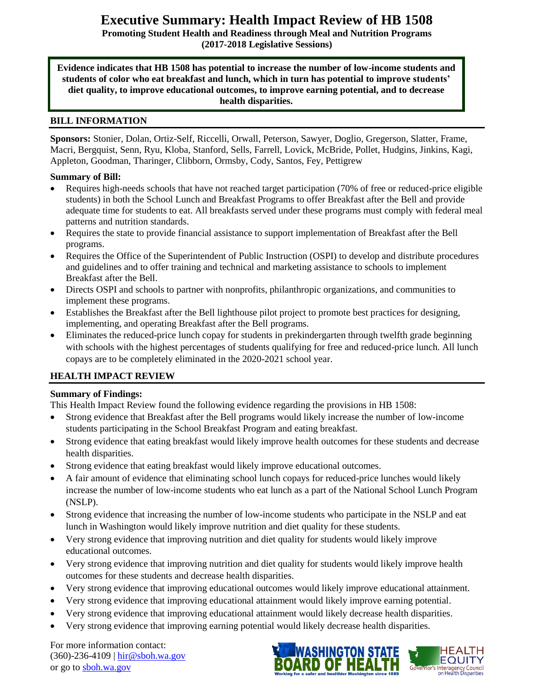# **Executive Summary: Health Impact Review of HB 1508**

**Promoting Student Health and Readiness through Meal and Nutrition Programs (2017-2018 Legislative Sessions)**

**Evidence indicates that HB 1508 has potential to increase the number of low-income students and students of color who eat breakfast and lunch, which in turn has potential to improve students' diet quality, to improve educational outcomes, to improve earning potential, and to decrease health disparities.**

#### **BILL INFORMATION**

**Sponsors:** Stonier, Dolan, Ortiz-Self, Riccelli, Orwall, Peterson, Sawyer, Doglio, Gregerson, Slatter, Frame, Macri, Bergquist, Senn, Ryu, Kloba, Stanford, Sells, Farrell, Lovick, McBride, Pollet, Hudgins, Jinkins, Kagi, Appleton, Goodman, Tharinger, Clibborn, Ormsby, Cody, Santos, Fey, Pettigrew

#### **Summary of Bill:**

- Requires high-needs schools that have not reached target participation (70% of free or reduced-price eligible students) in both the School Lunch and Breakfast Programs to offer Breakfast after the Bell and provide adequate time for students to eat. All breakfasts served under these programs must comply with federal meal patterns and nutrition standards.
- Requires the state to provide financial assistance to support implementation of Breakfast after the Bell programs.
- Requires the Office of the Superintendent of Public Instruction (OSPI) to develop and distribute procedures and guidelines and to offer training and technical and marketing assistance to schools to implement Breakfast after the Bell.
- Directs OSPI and schools to partner with nonprofits, philanthropic organizations, and communities to implement these programs.
- Establishes the Breakfast after the Bell lighthouse pilot project to promote best practices for designing, implementing, and operating Breakfast after the Bell programs.
- Eliminates the reduced-price lunch copay for students in prekindergarten through twelfth grade beginning with schools with the highest percentages of students qualifying for free and reduced-price lunch. All lunch copays are to be completely eliminated in the 2020-2021 school year.

#### **HEALTH IMPACT REVIEW**

#### **Summary of Findings:**

This Health Impact Review found the following evidence regarding the provisions in HB 1508:

- Strong evidence that Breakfast after the Bell programs would likely increase the number of low-income students participating in the School Breakfast Program and eating breakfast.
- Strong evidence that eating breakfast would likely improve health outcomes for these students and decrease health disparities.
- Strong evidence that eating breakfast would likely improve educational outcomes.
- A fair amount of evidence that eliminating school lunch copays for reduced-price lunches would likely increase the number of low-income students who eat lunch as a part of the National School Lunch Program (NSLP).
- Strong evidence that increasing the number of low-income students who participate in the NSLP and eat lunch in Washington would likely improve nutrition and diet quality for these students.
- Very strong evidence that improving nutrition and diet quality for students would likely improve educational outcomes.
- Very strong evidence that improving nutrition and diet quality for students would likely improve health outcomes for these students and decrease health disparities.
- Very strong evidence that improving educational outcomes would likely improve educational attainment.
- Very strong evidence that improving educational attainment would likely improve earning potential.
- Very strong evidence that improving educational attainment would likely decrease health disparities.
- Very strong evidence that improving earning potential would likely decrease health disparities.

For more information contact: (360)-236-4109 | [hir@sboh.wa.gov](mailto:hir@sboh.wa.gov) or go to [sboh.wa.gov](http://sboh.wa.gov/)

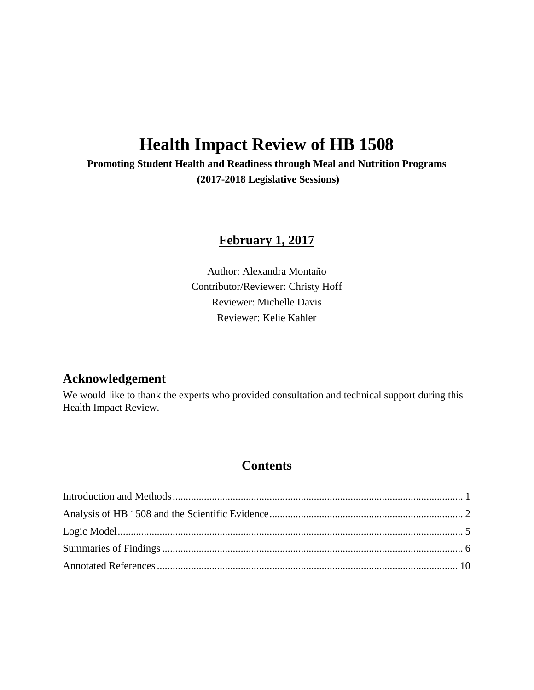# **Health Impact Review of HB 1508**

**Promoting Student Health and Readiness through Meal and Nutrition Programs (2017-2018 Legislative Sessions)**

# **February 1, 2017**

Author: Alexandra Montaño Contributor/Reviewer: Christy Hoff Reviewer: Michelle Davis Reviewer: Kelie Kahler

# **Acknowledgement**

We would like to thank the experts who provided consultation and technical support during this Health Impact Review.

# **Contents**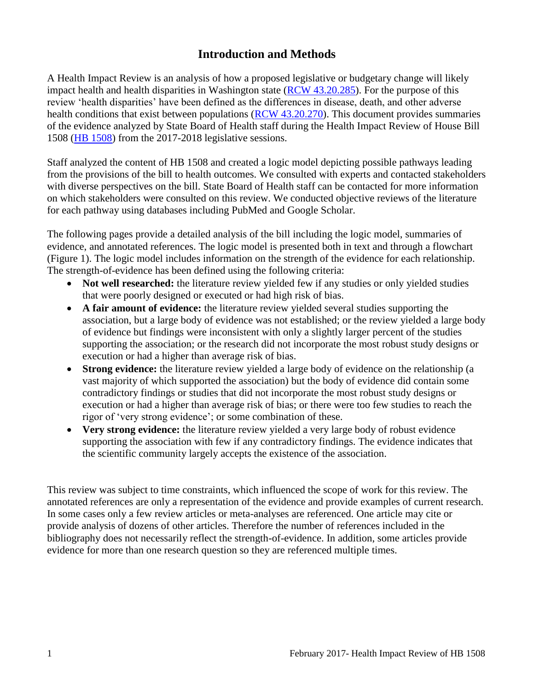# **Introduction and Methods**

<span id="page-2-0"></span>A Health Impact Review is an analysis of how a proposed legislative or budgetary change will likely impact health and health disparities in Washington state [\(RCW 43.20.285\)](http://apps.leg.wa.gov/rcw/default.aspx?cite=43.20.285). For the purpose of this review 'health disparities' have been defined as the differences in disease, death, and other adverse health conditions that exist between populations [\(RCW 43.20.270\)](http://apps.leg.wa.gov/rcw/default.aspx?cite=43.20.270). This document provides summaries of the evidence analyzed by State Board of Health staff during the Health Impact Review of House Bill 1508 [\(HB 1508\)](http://app.leg.wa.gov/billsummary?BillNumber=1508&Year=2017) from the 2017-2018 legislative sessions.

Staff analyzed the content of HB 1508 and created a logic model depicting possible pathways leading from the provisions of the bill to health outcomes. We consulted with experts and contacted stakeholders with diverse perspectives on the bill. State Board of Health staff can be contacted for more information on which stakeholders were consulted on this review. We conducted objective reviews of the literature for each pathway using databases including PubMed and Google Scholar.

The following pages provide a detailed analysis of the bill including the logic model, summaries of evidence, and annotated references. The logic model is presented both in text and through a flowchart (Figure 1). The logic model includes information on the strength of the evidence for each relationship. The strength-of-evidence has been defined using the following criteria:

- Not well researched: the literature review yielded few if any studies or only yielded studies that were poorly designed or executed or had high risk of bias.
- **A fair amount of evidence:** the literature review yielded several studies supporting the association, but a large body of evidence was not established; or the review yielded a large body of evidence but findings were inconsistent with only a slightly larger percent of the studies supporting the association; or the research did not incorporate the most robust study designs or execution or had a higher than average risk of bias.
- **Strong evidence:** the literature review yielded a large body of evidence on the relationship (a vast majority of which supported the association) but the body of evidence did contain some contradictory findings or studies that did not incorporate the most robust study designs or execution or had a higher than average risk of bias; or there were too few studies to reach the rigor of 'very strong evidence'; or some combination of these.
- **Very strong evidence:** the literature review yielded a very large body of robust evidence supporting the association with few if any contradictory findings. The evidence indicates that the scientific community largely accepts the existence of the association.

This review was subject to time constraints, which influenced the scope of work for this review. The annotated references are only a representation of the evidence and provide examples of current research. In some cases only a few review articles or meta-analyses are referenced. One article may cite or provide analysis of dozens of other articles. Therefore the number of references included in the bibliography does not necessarily reflect the strength-of-evidence. In addition, some articles provide evidence for more than one research question so they are referenced multiple times.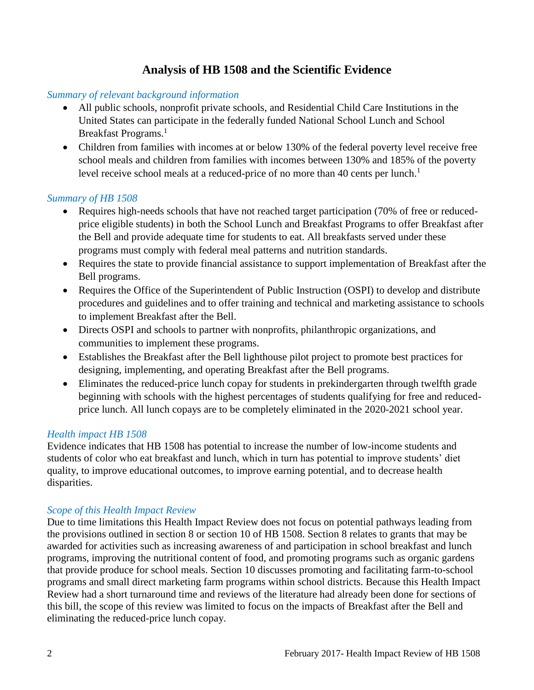# **Analysis of HB 1508 and the Scientific Evidence**

# <span id="page-3-0"></span>*Summary of relevant background information*

- All public schools, nonprofit private schools, and Residential Child Care Institutions in the United States can participate in the federally funded National School Lunch and School Breakfast Programs.<sup>[1](#page-11-0)</sup>
- Children from families with incomes at or below 130% of the federal poverty level receive free school meals and children from families with incomes between 130% and 185% of the poverty level receive school meals at a reduced-price of no more than 40 cents per lunch.<sup>[1](#page-11-0)</sup>

#### *Summary of HB 1508*

- Requires high-needs schools that have not reached target participation (70% of free or reducedprice eligible students) in both the School Lunch and Breakfast Programs to offer Breakfast after the Bell and provide adequate time for students to eat. All breakfasts served under these programs must comply with federal meal patterns and nutrition standards.
- Requires the state to provide financial assistance to support implementation of Breakfast after the Bell programs.
- Requires the Office of the Superintendent of Public Instruction (OSPI) to develop and distribute procedures and guidelines and to offer training and technical and marketing assistance to schools to implement Breakfast after the Bell.
- Directs OSPI and schools to partner with nonprofits, philanthropic organizations, and communities to implement these programs.
- Establishes the Breakfast after the Bell lighthouse pilot project to promote best practices for designing, implementing, and operating Breakfast after the Bell programs.
- Eliminates the reduced-price lunch copay for students in prekindergarten through twelfth grade beginning with schools with the highest percentages of students qualifying for free and reducedprice lunch. All lunch copays are to be completely eliminated in the 2020-2021 school year.

#### *Health impact HB 1508*

Evidence indicates that HB 1508 has potential to increase the number of low-income students and students of color who eat breakfast and lunch, which in turn has potential to improve students' diet quality, to improve educational outcomes, to improve earning potential, and to decrease health disparities.

#### *Scope of this Health Impact Review*

Due to time limitations this Health Impact Review does not focus on potential pathways leading from the provisions outlined in section 8 or section 10 of HB 1508. Section 8 relates to grants that may be awarded for activities such as increasing awareness of and participation in school breakfast and lunch programs, improving the nutritional content of food, and promoting programs such as organic gardens that provide produce for school meals. Section 10 discusses promoting and facilitating farm-to-school programs and small direct marketing farm programs within school districts. Because this Health Impact Review had a short turnaround time and reviews of the literature had already been done for sections of this bill, the scope of this review was limited to focus on the impacts of Breakfast after the Bell and eliminating the reduced-price lunch copay.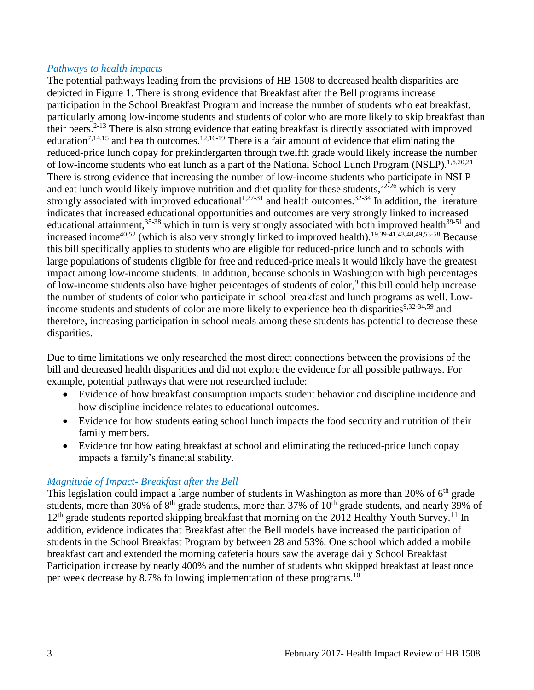#### *Pathways to health impacts*

The potential pathways leading from the provisions of HB 1508 to decreased health disparities are depicted in Figure 1. There is strong evidence that Breakfast after the Bell programs increase participation in the School Breakfast Program and increase the number of students who eat breakfast, particularly among low-income students and students of color who are more likely to skip breakfast than their peers.[2-13](#page-11-1) There is also strong evidence that eating breakfast is directly associated with improved education<sup>[7,](#page-13-0)[14,](#page-15-0)[15](#page-16-0)</sup> and health outcomes.<sup>[12,](#page-15-1)[16-19](#page-17-0)</sup> There is a fair amount of evidence that eliminating the reduced-price lunch copay for prekindergarten through twelfth grade would likely increase the number of low-income students who eat lunch as a part of the National School Lunch Program (NSLP).<sup>[1,](#page-11-0)[5,](#page-12-0)[20,](#page-18-0)[21](#page-18-1)</sup> There is strong evidence that increasing the number of low-income students who participate in NSLP and eat lunch would likely improve nutrition and diet quality for these students,  $22-26$  which is very strongly associated with improved educational<sup>[1,](#page-11-0)[27-31](#page-21-0)</sup> and health outcomes.<sup>[32-34](#page-23-0)</sup> In addition, the literature indicates that increased educational opportunities and outcomes are very strongly linked to increased educational attainment,<sup>[35-38](#page-24-0)</sup> which in turn is very strongly associated with both improved health<sup>[39-51](#page-25-0)</sup> and increased income[40,](#page-25-1)[52](#page-27-0) (which is also very strongly linked to improved health).[19,](#page-18-2)[39-41](#page-25-0)[,43](#page-26-0)[,48](#page-26-1)[,49](#page-27-1)[,53-58](#page-28-0) Because this bill specifically applies to students who are eligible for reduced-price lunch and to schools with large populations of students eligible for free and reduced-price meals it would likely have the greatest impact among low-income students. In addition, because schools in Washington with high percentages of low-income students also have higher percentages of students of color,<sup>[9](#page-14-0)</sup> this bill could help increase the number of students of color who participate in school breakfast and lunch programs as well. Low-income students and students of color are more likely to experience health disparities<sup>[9,](#page-14-0)[32-34](#page-23-0)[,59](#page-29-0)</sup> and therefore, increasing participation in school meals among these students has potential to decrease these disparities.

Due to time limitations we only researched the most direct connections between the provisions of the bill and decreased health disparities and did not explore the evidence for all possible pathways. For example, potential pathways that were not researched include:

- Evidence of how breakfast consumption impacts student behavior and discipline incidence and how discipline incidence relates to educational outcomes.
- Evidence for how students eating school lunch impacts the food security and nutrition of their family members.
- Evidence for how eating breakfast at school and eliminating the reduced-price lunch copay impacts a family's financial stability.

#### *Magnitude of Impact- Breakfast after the Bell*

This legislation could impact a large number of students in Washington as more than 20% of  $6<sup>th</sup>$  grade students, more than 30% of 8<sup>th</sup> grade students, more than 37% of 10<sup>th</sup> grade students, and nearly 39% of  $12<sup>th</sup>$  grade students reported skipping breakfast that morning on the 2012 Healthy Youth Survey.<sup>[11](#page-14-1)</sup> In addition, evidence indicates that Breakfast after the Bell models have increased the participation of students in the School Breakfast Program by between 28 and 53%. One school which added a mobile breakfast cart and extended the morning cafeteria hours saw the average daily School Breakfast Participation increase by nearly 400% and the number of students who skipped breakfast at least once per week decrease by 8.7% following implementation of these programs.[10](#page-14-2)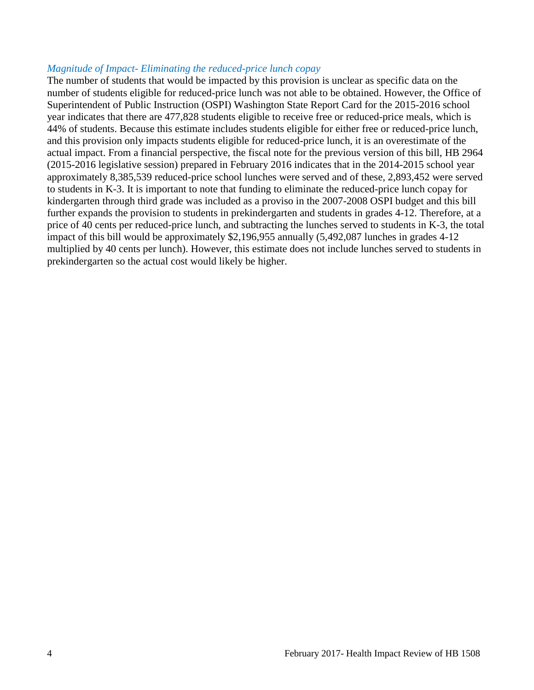#### *Magnitude of Impact- Eliminating the reduced-price lunch copay*

The number of students that would be impacted by this provision is unclear as specific data on the number of students eligible for reduced-price lunch was not able to be obtained. However, the Office of Superintendent of Public Instruction (OSPI) Washington State Report Card for the 2015-2016 school year indicates that there are 477,828 students eligible to receive free or reduced-price meals, which is 44% of students. Because this estimate includes students eligible for either free or reduced-price lunch, and this provision only impacts students eligible for reduced-price lunch, it is an overestimate of the actual impact. From a financial perspective, the fiscal note for the previous version of this bill, HB 2964 (2015-2016 legislative session) prepared in February 2016 indicates that in the 2014-2015 school year approximately 8,385,539 reduced-price school lunches were served and of these, 2,893,452 were served to students in K-3. It is important to note that funding to eliminate the reduced-price lunch copay for kindergarten through third grade was included as a proviso in the 2007-2008 OSPI budget and this bill further expands the provision to students in prekindergarten and students in grades 4-12. Therefore, at a price of 40 cents per reduced-price lunch, and subtracting the lunches served to students in K-3, the total impact of this bill would be approximately \$2,196,955 annually (5,492,087 lunches in grades 4-12 multiplied by 40 cents per lunch). However, this estimate does not include lunches served to students in prekindergarten so the actual cost would likely be higher.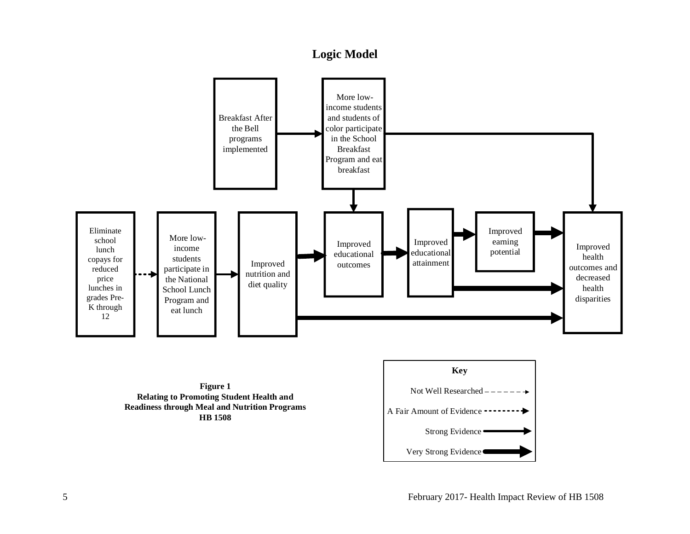# **Logic Model**

<span id="page-6-0"></span>

**Figure 1 Relating to Promoting Student Health and Readiness through Meal and Nutrition Programs HB 1508**

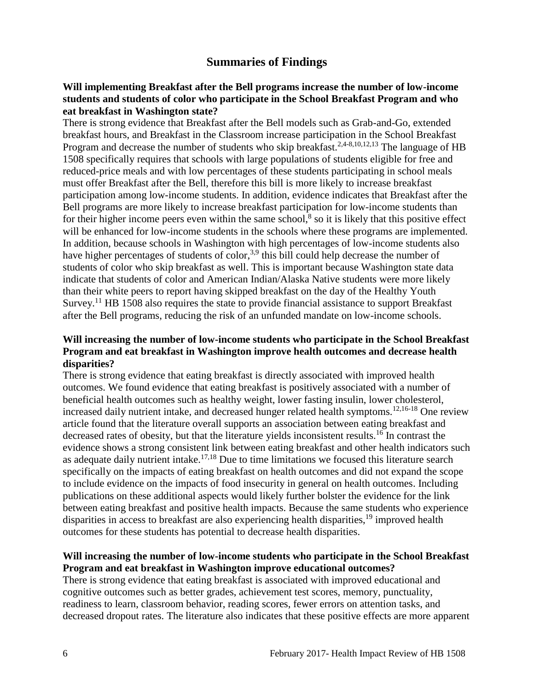# **Summaries of Findings**

#### <span id="page-7-0"></span>**Will implementing Breakfast after the Bell programs increase the number of low-income students and students of color who participate in the School Breakfast Program and who eat breakfast in Washington state?**

There is strong evidence that Breakfast after the Bell models such as Grab-and-Go, extended breakfast hours, and Breakfast in the Classroom increase participation in the School Breakfast Program and decrease the number of students who skip breakfast.<sup>[2](#page-11-1)[,4-8](#page-12-1)[,10](#page-14-2)[,12](#page-15-1)[,13](#page-15-2)</sup> The language of HB 1508 specifically requires that schools with large populations of students eligible for free and reduced-price meals and with low percentages of these students participating in school meals must offer Breakfast after the Bell, therefore this bill is more likely to increase breakfast participation among low-income students. In addition, evidence indicates that Breakfast after the Bell programs are more likely to increase breakfast participation for low-income students than for their higher income peers even within the same school, $\delta$  so it is likely that this positive effect will be enhanced for low-income students in the schools where these programs are implemented. In addition, because schools in Washington with high percentages of low-income students also have higher percentages of students of color,<sup>[3,](#page-12-2)[9](#page-14-0)</sup> this bill could help decrease the number of students of color who skip breakfast as well. This is important because Washington state data indicate that students of color and American Indian/Alaska Native students were more likely than their white peers to report having skipped breakfast on the day of the Healthy Youth Survey.<sup>[11](#page-14-1)</sup> HB 1508 also requires the state to provide financial assistance to support Breakfast after the Bell programs, reducing the risk of an unfunded mandate on low-income schools.

#### **Will increasing the number of low-income students who participate in the School Breakfast Program and eat breakfast in Washington improve health outcomes and decrease health disparities?**

There is strong evidence that eating breakfast is directly associated with improved health outcomes. We found evidence that eating breakfast is positively associated with a number of beneficial health outcomes such as healthy weight, lower fasting insulin, lower cholesterol, increased daily nutrient intake, and decreased hunger related health symptoms.<sup>[12](#page-15-1)[,16-18](#page-17-0)</sup> One review article found that the literature overall supports an association between eating breakfast and decreased rates of obesity, but that the literature yields inconsistent results.<sup>[16](#page-17-0)</sup> In contrast the evidence shows a strong consistent link between eating breakfast and other health indicators such as adequate daily nutrient intake.<sup>[17,](#page-17-1)[18](#page-17-2)</sup> Due to time limitations we focused this literature search specifically on the impacts of eating breakfast on health outcomes and did not expand the scope to include evidence on the impacts of food insecurity in general on health outcomes. Including publications on these additional aspects would likely further bolster the evidence for the link between eating breakfast and positive health impacts. Because the same students who experience disparities in access to breakfast are also experiencing health disparities,  $19$  improved health outcomes for these students has potential to decrease health disparities.

#### **Will increasing the number of low-income students who participate in the School Breakfast Program and eat breakfast in Washington improve educational outcomes?**

There is strong evidence that eating breakfast is associated with improved educational and cognitive outcomes such as better grades, achievement test scores, memory, punctuality, readiness to learn, classroom behavior, reading scores, fewer errors on attention tasks, and decreased dropout rates. The literature also indicates that these positive effects are more apparent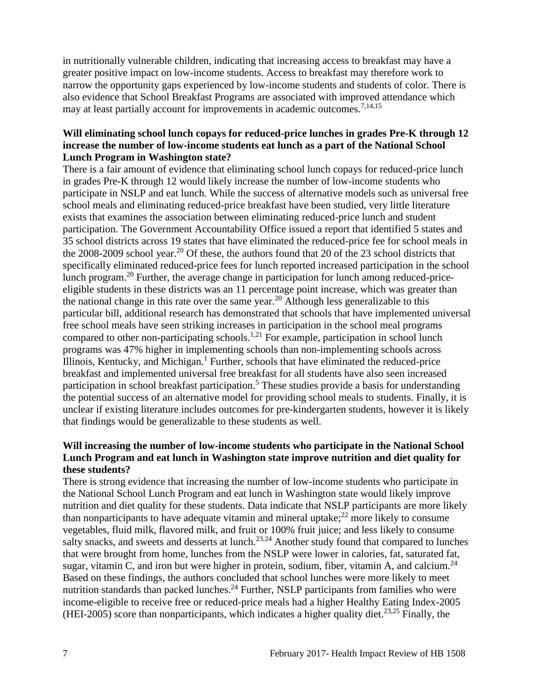in nutritionally vulnerable children, indicating that increasing access to breakfast may have a greater positive impact on low-income students. Access to breakfast may therefore work to narrow the opportunity gaps experienced by low-income students and students of color. There is also evidence that School Breakfast Programs are associated with improved attendance which may at least partially account for improvements in academic outcomes.<sup>[7,](#page-13-0)[14,](#page-15-0)[15](#page-16-0)</sup>

#### **Will eliminating school lunch copays for reduced-price lunches in grades Pre-K through 12 increase the number of low-income students eat lunch as a part of the National School Lunch Program in Washington state?**

There is a fair amount of evidence that eliminating school lunch copays for reduced-price lunch in grades Pre-K through 12 would likely increase the number of low-income students who participate in NSLP and eat lunch. While the success of alternative models such as universal free school meals and eliminating reduced-price breakfast have been studied, very little literature exists that examines the association between eliminating reduced-price lunch and student participation. The Government Accountability Office issued a report that identified 5 states and 35 school districts across 19 states that have eliminated the reduced-price fee for school meals in the 2008-2009 school year.[20](#page-18-0) Of these, the authors found that 20 of the 23 school districts that specifically eliminated reduced-price fees for lunch reported increased participation in the school lunch program.<sup>[20](#page-18-0)</sup> Further, the average change in participation for lunch among reduced-priceeligible students in these districts was an 11 percentage point increase, which was greater than the national change in this rate over the same year.[20](#page-18-0) Although less generalizable to this particular bill, additional research has demonstrated that schools that have implemented universal free school meals have seen striking increases in participation in the school meal programs compared to other non-participating schools.<sup>[1](#page-11-0)[,21](#page-18-1)</sup> For example, participation in school lunch programs was 47% higher in implementing schools than non-implementing schools across Illinois, Kentucky, and Michigan.[1](#page-11-0) Further, schools that have eliminated the reduced-price breakfast and implemented universal free breakfast for all students have also seen increased participation in school breakfast participation.<sup>[5](#page-12-0)</sup> These studies provide a basis for understanding the potential success of an alternative model for providing school meals to students. Finally, it is unclear if existing literature includes outcomes for pre-kindergarten students, however it is likely that findings would be generalizable to these students as well.

#### **Will increasing the number of low-income students who participate in the National School Lunch Program and eat lunch in Washington state improve nutrition and diet quality for these students?**

There is strong evidence that increasing the number of low-income students who participate in the National School Lunch Program and eat lunch in Washington state would likely improve nutrition and diet quality for these students. Data indicate that NSLP participants are more likely than nonparticipants to have adequate vitamin and mineral uptake; $^{22}$  $^{22}$  $^{22}$  more likely to consume vegetables, fluid milk, flavored milk, and fruit or 100% fruit juice; and less likely to consume salty snacks, and sweets and desserts at lunch.<sup>[23,](#page-19-1)[24](#page-20-0)</sup> Another study found that compared to lunches that were brought from home, lunches from the NSLP were lower in calories, fat, saturated fat, sugar, vitamin C, and iron but were higher in protein, sodium, fiber, vitamin A, and calcium.<sup>[24](#page-20-0)</sup> Based on these findings, the authors concluded that school lunches were more likely to meet nutrition standards than packed lunches.<sup>[24](#page-20-0)</sup> Further, NSLP participants from families who were income-eligible to receive free or reduced-price meals had a higher Healthy Eating Index-2005 (HEI-2005) score than nonparticipants, which indicates a higher quality diet.<sup>[23](#page-19-1)[,25](#page-20-1)</sup> Finally, the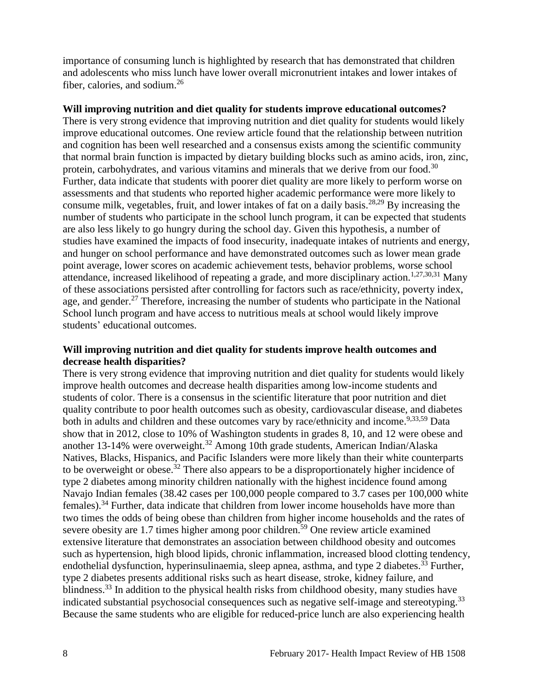importance of consuming lunch is highlighted by research that has demonstrated that children and adolescents who miss lunch have lower overall micronutrient intakes and lower intakes of fiber, calories, and sodium.<sup>[26](#page-21-1)</sup>

#### **Will improving nutrition and diet quality for students improve educational outcomes?**

There is very strong evidence that improving nutrition and diet quality for students would likely improve educational outcomes. One review article found that the relationship between nutrition and cognition has been well researched and a consensus exists among the scientific community that normal brain function is impacted by dietary building blocks such as amino acids, iron, zinc, protein, carbohydrates, and various vitamins and minerals that we derive from our food.<sup>[30](#page-22-0)</sup> Further, data indicate that students with poorer diet quality are more likely to perform worse on assessments and that students who reported higher academic performance were more likely to consume milk, vegetables, fruit, and lower intakes of fat on a daily basis.[28,](#page-21-2)[29](#page-22-1) By increasing the number of students who participate in the school lunch program, it can be expected that students are also less likely to go hungry during the school day. Given this hypothesis, a number of studies have examined the impacts of food insecurity, inadequate intakes of nutrients and energy, and hunger on school performance and have demonstrated outcomes such as lower mean grade point average, lower scores on academic achievement tests, behavior problems, worse school attendance, increased likelihood of repeating a grade, and more disciplinary action.<sup>[1](#page-11-0)[,27](#page-21-0)[,30](#page-22-0)[,31](#page-22-2)</sup> Many of these associations persisted after controlling for factors such as race/ethnicity, poverty index, age, and gender.<sup>[27](#page-21-0)</sup> Therefore, increasing the number of students who participate in the National School lunch program and have access to nutritious meals at school would likely improve students' educational outcomes.

#### **Will improving nutrition and diet quality for students improve health outcomes and decrease health disparities?**

There is very strong evidence that improving nutrition and diet quality for students would likely improve health outcomes and decrease health disparities among low-income students and students of color. There is a consensus in the scientific literature that poor nutrition and diet quality contribute to poor health outcomes such as obesity, cardiovascular disease, and diabetes both in adults and children and these outcomes vary by race/ethnicity and income.<sup>[9](#page-14-0)[,33](#page-23-1)[,59](#page-29-0)</sup> Data show that in 2012, close to 10% of Washington students in grades 8, 10, and 12 were obese and another 13-14% were overweight.<sup>[32](#page-23-0)</sup> Among 10th grade students, American Indian/Alaska Natives, Blacks, Hispanics, and Pacific Islanders were more likely than their white counterparts to be overweight or obese.[32](#page-23-0) There also appears to be a disproportionately higher incidence of type 2 diabetes among minority children nationally with the highest incidence found among Navajo Indian females (38.42 cases per 100,000 people compared to 3.7 cases per 100,000 white females).[34](#page-23-2) Further, data indicate that children from lower income households have more than two times the odds of being obese than children from higher income households and the rates of severe obesity are 1.7 times higher among poor children.<sup>[59](#page-29-0)</sup> One review article examined extensive literature that demonstrates an association between childhood obesity and outcomes such as hypertension, high blood lipids, chronic inflammation, increased blood clotting tendency, endothelial dysfunction, hyperinsulinaemia, sleep apnea, asthma, and type 2 diabetes.<sup>[33](#page-23-1)</sup> Further, type 2 diabetes presents additional risks such as heart disease, stroke, kidney failure, and blindness.[33](#page-23-1) In addition to the physical health risks from childhood obesity, many studies have indicated substantial psychosocial consequences such as negative self-image and stereotyping.<sup>[33](#page-23-1)</sup> Because the same students who are eligible for reduced-price lunch are also experiencing health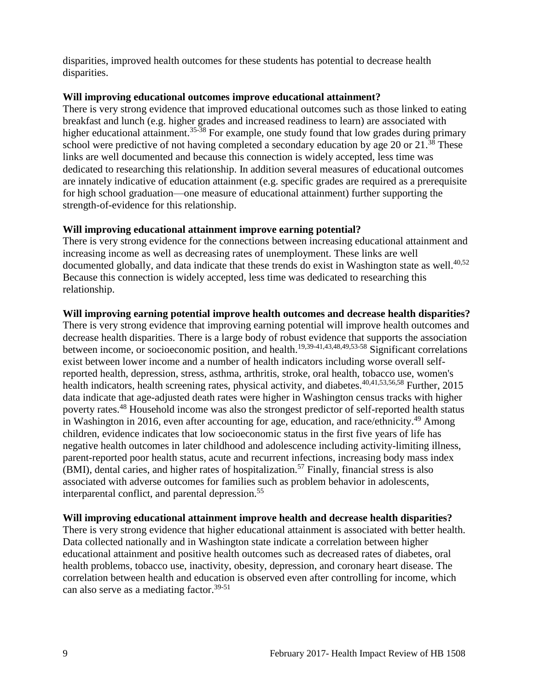disparities, improved health outcomes for these students has potential to decrease health disparities.

#### **Will improving educational outcomes improve educational attainment?**

There is very strong evidence that improved educational outcomes such as those linked to eating breakfast and lunch (e.g. higher grades and increased readiness to learn) are associated with higher educational attainment.<sup>[35-38](#page-24-0)</sup> For example, one study found that low grades during primary school were predictive of not having completed a secondary education by age 20 or  $21.^{38}$  $21.^{38}$  $21.^{38}$  These links are well documented and because this connection is widely accepted, less time was dedicated to researching this relationship. In addition several measures of educational outcomes are innately indicative of education attainment (e.g. specific grades are required as a prerequisite for high school graduation—one measure of educational attainment) further supporting the strength-of-evidence for this relationship.

#### **Will improving educational attainment improve earning potential?**

There is very strong evidence for the connections between increasing educational attainment and increasing income as well as decreasing rates of unemployment. These links are well documented globally, and data indicate that these trends do exist in Washington state as well. $40,52$  $40,52$ Because this connection is widely accepted, less time was dedicated to researching this relationship.

#### **Will improving earning potential improve health outcomes and decrease health disparities?**

There is very strong evidence that improving earning potential will improve health outcomes and decrease health disparities. There is a large body of robust evidence that supports the association between income, or socioeconomic position, and health.[19,](#page-18-2)[39-41](#page-25-0)[,43](#page-26-0)[,48](#page-26-1)[,49](#page-27-1)[,53-58](#page-28-0) Significant correlations exist between lower income and a number of health indicators including worse overall selfreported health, depression, stress, asthma, arthritis, stroke, oral health, tobacco use, women's health indicators, health screening rates, physical activity, and diabetes.<sup>[40](#page-25-1)[,41](#page-25-2)[,53](#page-28-0)[,56](#page-28-1)[,58](#page-29-1)</sup> Further. 2015 data indicate that age-adjusted death rates were higher in Washington census tracks with higher poverty rates.[48](#page-26-1) Household income was also the strongest predictor of self-reported health status in Washington in 2016, even after accounting for age, education, and race/ethnicity.<sup>[49](#page-27-1)</sup> Among children, evidence indicates that low socioeconomic status in the first five years of life has negative health outcomes in later childhood and adolescence including activity-limiting illness, parent-reported poor health status, acute and recurrent infections, increasing body mass index  $(BMI)$ , dental caries, and higher rates of hospitalization.<sup>[57](#page-29-2)</sup> Finally, financial stress is also associated with adverse outcomes for families such as problem behavior in adolescents, interparental conflict, and parental depression.<sup>[55](#page-28-2)</sup>

#### **Will improving educational attainment improve health and decrease health disparities?**

<span id="page-10-0"></span>There is very strong evidence that higher educational attainment is associated with better health. Data collected nationally and in Washington state indicate a correlation between higher educational attainment and positive health outcomes such as decreased rates of diabetes, oral health problems, tobacco use, inactivity, obesity, depression, and coronary heart disease. The correlation between health and education is observed even after controlling for income, which can also serve as a mediating factor. $39-51$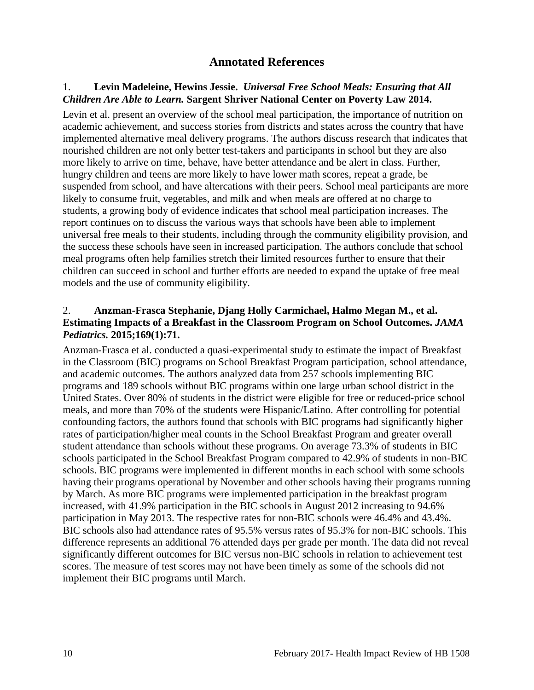# **Annotated References**

#### <span id="page-11-0"></span>1. **Levin Madeleine, Hewins Jessie.** *Universal Free School Meals: Ensuring that All Children Are Able to Learn.* **Sargent Shriver National Center on Poverty Law 2014.**

Levin et al. present an overview of the school meal participation, the importance of nutrition on academic achievement, and success stories from districts and states across the country that have implemented alternative meal delivery programs. The authors discuss research that indicates that nourished children are not only better test-takers and participants in school but they are also more likely to arrive on time, behave, have better attendance and be alert in class. Further, hungry children and teens are more likely to have lower math scores, repeat a grade, be suspended from school, and have altercations with their peers. School meal participants are more likely to consume fruit, vegetables, and milk and when meals are offered at no charge to students, a growing body of evidence indicates that school meal participation increases. The report continues on to discuss the various ways that schools have been able to implement universal free meals to their students, including through the community eligibility provision, and the success these schools have seen in increased participation. The authors conclude that school meal programs often help families stretch their limited resources further to ensure that their children can succeed in school and further efforts are needed to expand the uptake of free meal models and the use of community eligibility.

#### <span id="page-11-1"></span>2. **Anzman-Frasca Stephanie, Djang Holly Carmichael, Halmo Megan M., et al. Estimating Impacts of a Breakfast in the Classroom Program on School Outcomes.** *JAMA Pediatrics.* **2015;169(1):71.**

Anzman-Frasca et al. conducted a quasi-experimental study to estimate the impact of Breakfast in the Classroom (BIC) programs on School Breakfast Program participation, school attendance, and academic outcomes. The authors analyzed data from 257 schools implementing BIC programs and 189 schools without BIC programs within one large urban school district in the United States. Over 80% of students in the district were eligible for free or reduced-price school meals, and more than 70% of the students were Hispanic/Latino. After controlling for potential confounding factors, the authors found that schools with BIC programs had significantly higher rates of participation/higher meal counts in the School Breakfast Program and greater overall student attendance than schools without these programs. On average 73.3% of students in BIC schools participated in the School Breakfast Program compared to 42.9% of students in non-BIC schools. BIC programs were implemented in different months in each school with some schools having their programs operational by November and other schools having their programs running by March. As more BIC programs were implemented participation in the breakfast program increased, with 41.9% participation in the BIC schools in August 2012 increasing to 94.6% participation in May 2013. The respective rates for non-BIC schools were 46.4% and 43.4%. BIC schools also had attendance rates of 95.5% versus rates of 95.3% for non-BIC schools. This difference represents an additional 76 attended days per grade per month. The data did not reveal significantly different outcomes for BIC versus non-BIC schools in relation to achievement test scores. The measure of test scores may not have been timely as some of the schools did not implement their BIC programs until March.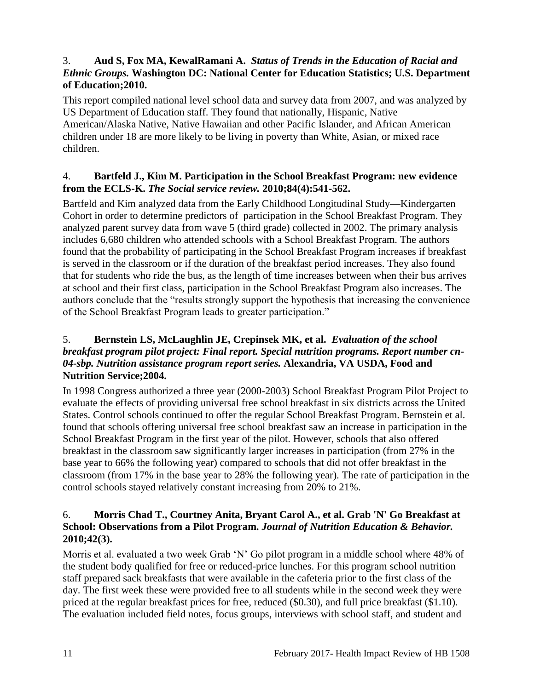# <span id="page-12-2"></span>3. **Aud S, Fox MA, KewalRamani A.** *Status of Trends in the Education of Racial and Ethnic Groups.* **Washington DC: National Center for Education Statistics; U.S. Department of Education;2010.**

This report compiled national level school data and survey data from 2007, and was analyzed by US Department of Education staff. They found that nationally, Hispanic, Native American/Alaska Native, Native Hawaiian and other Pacific Islander, and African American children under 18 are more likely to be living in poverty than White, Asian, or mixed race children.

# <span id="page-12-1"></span>4. **Bartfeld J., Kim M. Participation in the School Breakfast Program: new evidence from the ECLS-K.** *The Social service review.* **2010;84(4):541-562.**

Bartfeld and Kim analyzed data from the Early Childhood Longitudinal Study—Kindergarten Cohort in order to determine predictors of participation in the School Breakfast Program. They analyzed parent survey data from wave 5 (third grade) collected in 2002. The primary analysis includes 6,680 children who attended schools with a School Breakfast Program. The authors found that the probability of participating in the School Breakfast Program increases if breakfast is served in the classroom or if the duration of the breakfast period increases. They also found that for students who ride the bus, as the length of time increases between when their bus arrives at school and their first class, participation in the School Breakfast Program also increases. The authors conclude that the "results strongly support the hypothesis that increasing the convenience of the School Breakfast Program leads to greater participation."

# <span id="page-12-0"></span>5. **Bernstein LS, McLaughlin JE, Crepinsek MK, et al.** *Evaluation of the school breakfast program pilot project: Final report. Special nutrition programs. Report number cn-04-sbp. Nutrition assistance program report series.* **Alexandria, VA USDA, Food and Nutrition Service;2004.**

In 1998 Congress authorized a three year (2000-2003) School Breakfast Program Pilot Project to evaluate the effects of providing universal free school breakfast in six districts across the United States. Control schools continued to offer the regular School Breakfast Program. Bernstein et al. found that schools offering universal free school breakfast saw an increase in participation in the School Breakfast Program in the first year of the pilot. However, schools that also offered breakfast in the classroom saw significantly larger increases in participation (from 27% in the base year to 66% the following year) compared to schools that did not offer breakfast in the classroom (from 17% in the base year to 28% the following year). The rate of participation in the control schools stayed relatively constant increasing from 20% to 21%.

# 6. **Morris Chad T., Courtney Anita, Bryant Carol A., et al. Grab 'N' Go Breakfast at School: Observations from a Pilot Program.** *Journal of Nutrition Education & Behavior.*  **2010;42(3).**

Morris et al. evaluated a two week Grab 'N' Go pilot program in a middle school where 48% of the student body qualified for free or reduced-price lunches. For this program school nutrition staff prepared sack breakfasts that were available in the cafeteria prior to the first class of the day. The first week these were provided free to all students while in the second week they were priced at the regular breakfast prices for free, reduced (\$0.30), and full price breakfast (\$1.10). The evaluation included field notes, focus groups, interviews with school staff, and student and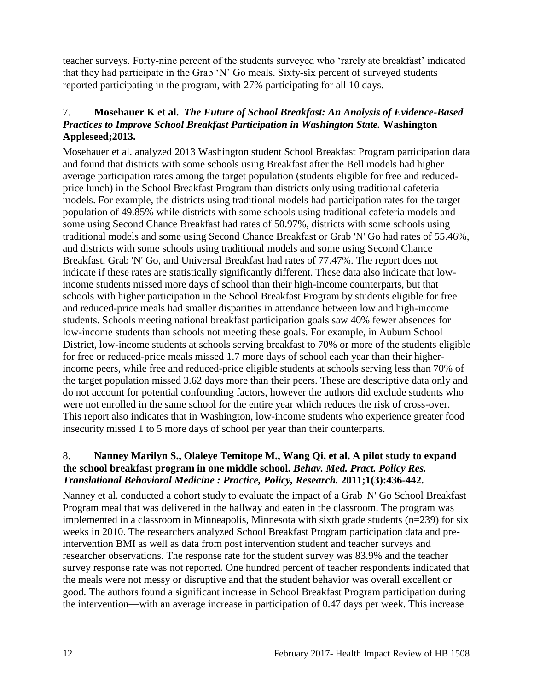teacher surveys. Forty-nine percent of the students surveyed who 'rarely ate breakfast' indicated that they had participate in the Grab 'N' Go meals. Sixty-six percent of surveyed students reported participating in the program, with 27% participating for all 10 days.

# <span id="page-13-0"></span>7. **Mosehauer K et al.** *The Future of School Breakfast: An Analysis of Evidence-Based Practices to Improve School Breakfast Participation in Washington State.* **Washington Appleseed;2013.**

Mosehauer et al. analyzed 2013 Washington student School Breakfast Program participation data and found that districts with some schools using Breakfast after the Bell models had higher average participation rates among the target population (students eligible for free and reducedprice lunch) in the School Breakfast Program than districts only using traditional cafeteria models. For example, the districts using traditional models had participation rates for the target population of 49.85% while districts with some schools using traditional cafeteria models and some using Second Chance Breakfast had rates of 50.97%, districts with some schools using traditional models and some using Second Chance Breakfast or Grab 'N' Go had rates of 55.46%, and districts with some schools using traditional models and some using Second Chance Breakfast, Grab 'N' Go, and Universal Breakfast had rates of 77.47%. The report does not indicate if these rates are statistically significantly different. These data also indicate that lowincome students missed more days of school than their high-income counterparts, but that schools with higher participation in the School Breakfast Program by students eligible for free and reduced-price meals had smaller disparities in attendance between low and high-income students. Schools meeting national breakfast participation goals saw 40% fewer absences for low-income students than schools not meeting these goals. For example, in Auburn School District, low-income students at schools serving breakfast to 70% or more of the students eligible for free or reduced-price meals missed 1.7 more days of school each year than their higherincome peers, while free and reduced-price eligible students at schools serving less than 70% of the target population missed 3.62 days more than their peers. These are descriptive data only and do not account for potential confounding factors, however the authors did exclude students who were not enrolled in the same school for the entire year which reduces the risk of cross-over. This report also indicates that in Washington, low-income students who experience greater food insecurity missed 1 to 5 more days of school per year than their counterparts.

# <span id="page-13-1"></span>8. **Nanney Marilyn S., Olaleye Temitope M., Wang Qi, et al. A pilot study to expand the school breakfast program in one middle school.** *Behav. Med. Pract. Policy Res. Translational Behavioral Medicine : Practice, Policy, Research.* **2011;1(3):436-442.**

Nanney et al. conducted a cohort study to evaluate the impact of a Grab 'N' Go School Breakfast Program meal that was delivered in the hallway and eaten in the classroom. The program was implemented in a classroom in Minneapolis, Minnesota with sixth grade students (n=239) for six weeks in 2010. The researchers analyzed School Breakfast Program participation data and preintervention BMI as well as data from post intervention student and teacher surveys and researcher observations. The response rate for the student survey was 83.9% and the teacher survey response rate was not reported. One hundred percent of teacher respondents indicated that the meals were not messy or disruptive and that the student behavior was overall excellent or good. The authors found a significant increase in School Breakfast Program participation during the intervention—with an average increase in participation of 0.47 days per week. This increase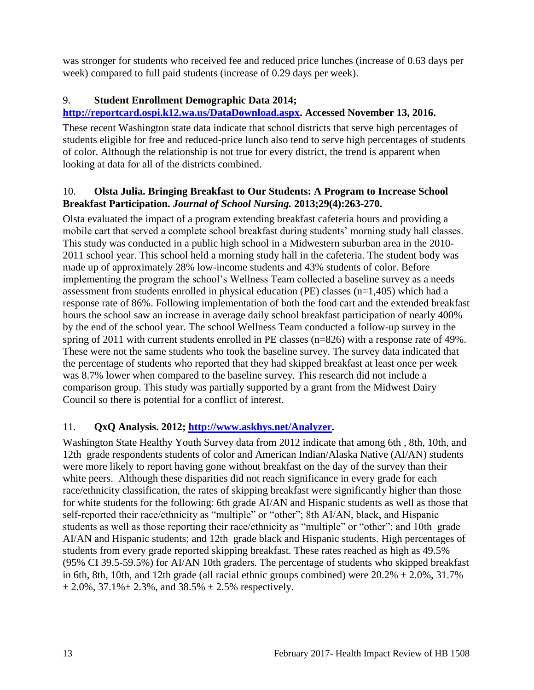was stronger for students who received fee and reduced price lunches (increase of 0.63 days per week) compared to full paid students (increase of 0.29 days per week).

# <span id="page-14-0"></span>9. **Student Enrollment Demographic Data 2014;**

# **[http://reportcard.ospi.k12.wa.us/DataDownload.aspx.](http://reportcard.ospi.k12.wa.us/DataDownload.aspx) Accessed November 13, 2016.**

These recent Washington state data indicate that school districts that serve high percentages of students eligible for free and reduced-price lunch also tend to serve high percentages of students of color. Although the relationship is not true for every district, the trend is apparent when looking at data for all of the districts combined.

# <span id="page-14-2"></span>10. **Olsta Julia. Bringing Breakfast to Our Students: A Program to Increase School Breakfast Participation.** *Journal of School Nursing.* **2013;29(4):263-270.**

Olsta evaluated the impact of a program extending breakfast cafeteria hours and providing a mobile cart that served a complete school breakfast during students' morning study hall classes. This study was conducted in a public high school in a Midwestern suburban area in the 2010- 2011 school year. This school held a morning study hall in the cafeteria. The student body was made up of approximately 28% low-income students and 43% students of color. Before implementing the program the school's Wellness Team collected a baseline survey as a needs assessment from students enrolled in physical education (PE) classes (n=1,405) which had a response rate of 86%. Following implementation of both the food cart and the extended breakfast hours the school saw an increase in average daily school breakfast participation of nearly 400% by the end of the school year. The school Wellness Team conducted a follow-up survey in the spring of 2011 with current students enrolled in PE classes (n=826) with a response rate of 49%. These were not the same students who took the baseline survey. The survey data indicated that the percentage of students who reported that they had skipped breakfast at least once per week was 8.7% lower when compared to the baseline survey. This research did not include a comparison group. This study was partially supported by a grant from the Midwest Dairy Council so there is potential for a conflict of interest.

# <span id="page-14-1"></span>11. **QxQ Analysis. 2012; [http://www.askhys.net/Analyzer.](http://www.askhys.net/Analyzer)**

Washington State Healthy Youth Survey data from 2012 indicate that among 6th , 8th, 10th, and 12th grade respondents students of color and American Indian/Alaska Native (AI/AN) students were more likely to report having gone without breakfast on the day of the survey than their white peers. Although these disparities did not reach significance in every grade for each race/ethnicity classification, the rates of skipping breakfast were significantly higher than those for white students for the following: 6th grade AI/AN and Hispanic students as well as those that self-reported their race/ethnicity as "multiple" or "other"; 8th AI/AN, black, and Hispanic students as well as those reporting their race/ethnicity as "multiple" or "other"; and 10th grade AI/AN and Hispanic students; and 12th grade black and Hispanic students. High percentages of students from every grade reported skipping breakfast. These rates reached as high as 49.5% (95% CI 39.5-59.5%) for AI/AN 10th graders. The percentage of students who skipped breakfast in 6th, 8th, 10th, and 12th grade (all racial ethnic groups combined) were  $20.2\% \pm 2.0\%$ , 31.7%  $\pm 2.0\%$ , 37.1% $\pm 2.3\%$ , and 38.5%  $\pm 2.5\%$  respectively.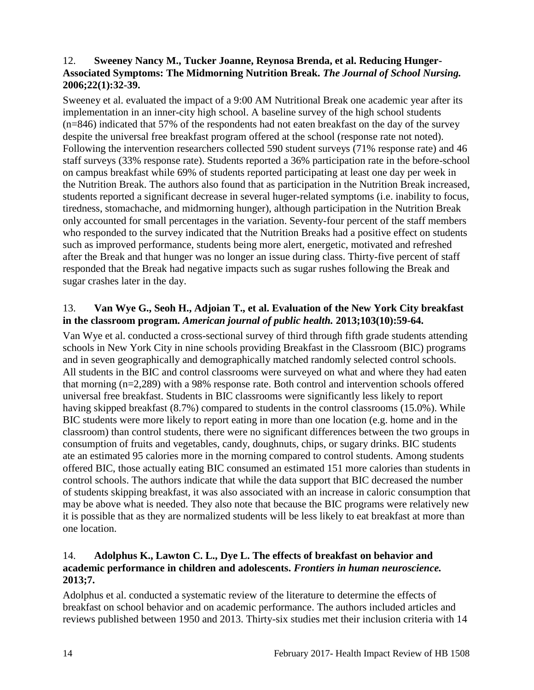# <span id="page-15-1"></span>12. **Sweeney Nancy M., Tucker Joanne, Reynosa Brenda, et al. Reducing Hunger-Associated Symptoms: The Midmorning Nutrition Break.** *The Journal of School Nursing.*  **2006;22(1):32-39.**

Sweeney et al. evaluated the impact of a 9:00 AM Nutritional Break one academic year after its implementation in an inner-city high school. A baseline survey of the high school students (n=846) indicated that 57% of the respondents had not eaten breakfast on the day of the survey despite the universal free breakfast program offered at the school (response rate not noted). Following the intervention researchers collected 590 student surveys (71% response rate) and 46 staff surveys (33% response rate). Students reported a 36% participation rate in the before-school on campus breakfast while 69% of students reported participating at least one day per week in the Nutrition Break. The authors also found that as participation in the Nutrition Break increased, students reported a significant decrease in several huger-related symptoms (i.e. inability to focus, tiredness, stomachache, and midmorning hunger), although participation in the Nutrition Break only accounted for small percentages in the variation. Seventy-four percent of the staff members who responded to the survey indicated that the Nutrition Breaks had a positive effect on students such as improved performance, students being more alert, energetic, motivated and refreshed after the Break and that hunger was no longer an issue during class. Thirty-five percent of staff responded that the Break had negative impacts such as sugar rushes following the Break and sugar crashes later in the day.

# <span id="page-15-2"></span>13. **Van Wye G., Seoh H., Adjoian T., et al. Evaluation of the New York City breakfast in the classroom program.** *American journal of public health.* **2013;103(10):59-64.**

Van Wye et al. conducted a cross-sectional survey of third through fifth grade students attending schools in New York City in nine schools providing Breakfast in the Classroom (BIC) programs and in seven geographically and demographically matched randomly selected control schools. All students in the BIC and control classrooms were surveyed on what and where they had eaten that morning (n=2,289) with a 98% response rate. Both control and intervention schools offered universal free breakfast. Students in BIC classrooms were significantly less likely to report having skipped breakfast (8.7%) compared to students in the control classrooms (15.0%). While BIC students were more likely to report eating in more than one location (e.g. home and in the classroom) than control students, there were no significant differences between the two groups in consumption of fruits and vegetables, candy, doughnuts, chips, or sugary drinks. BIC students ate an estimated 95 calories more in the morning compared to control students. Among students offered BIC, those actually eating BIC consumed an estimated 151 more calories than students in control schools. The authors indicate that while the data support that BIC decreased the number of students skipping breakfast, it was also associated with an increase in caloric consumption that may be above what is needed. They also note that because the BIC programs were relatively new it is possible that as they are normalized students will be less likely to eat breakfast at more than one location.

#### <span id="page-15-0"></span>14. **Adolphus K., Lawton C. L., Dye L. The effects of breakfast on behavior and academic performance in children and adolescents.** *Frontiers in human neuroscience.*  **2013;7.**

Adolphus et al. conducted a systematic review of the literature to determine the effects of breakfast on school behavior and on academic performance. The authors included articles and reviews published between 1950 and 2013. Thirty-six studies met their inclusion criteria with 14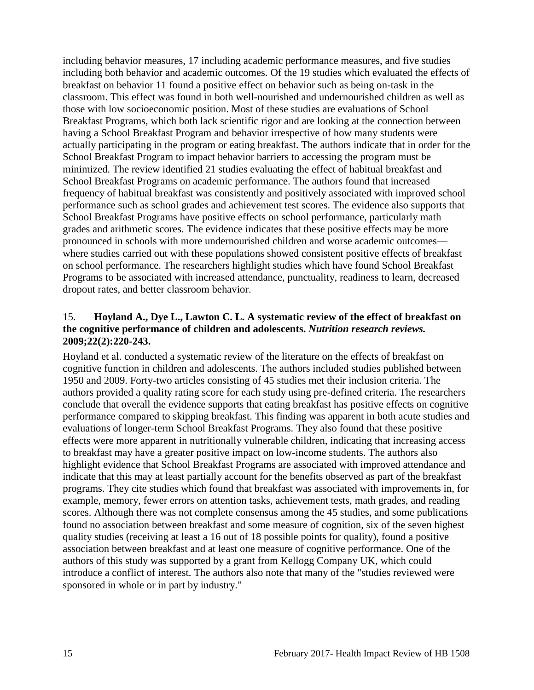including behavior measures, 17 including academic performance measures, and five studies including both behavior and academic outcomes. Of the 19 studies which evaluated the effects of breakfast on behavior 11 found a positive effect on behavior such as being on-task in the classroom. This effect was found in both well-nourished and undernourished children as well as those with low socioeconomic position. Most of these studies are evaluations of School Breakfast Programs, which both lack scientific rigor and are looking at the connection between having a School Breakfast Program and behavior irrespective of how many students were actually participating in the program or eating breakfast. The authors indicate that in order for the School Breakfast Program to impact behavior barriers to accessing the program must be minimized. The review identified 21 studies evaluating the effect of habitual breakfast and School Breakfast Programs on academic performance. The authors found that increased frequency of habitual breakfast was consistently and positively associated with improved school performance such as school grades and achievement test scores. The evidence also supports that School Breakfast Programs have positive effects on school performance, particularly math grades and arithmetic scores. The evidence indicates that these positive effects may be more pronounced in schools with more undernourished children and worse academic outcomes where studies carried out with these populations showed consistent positive effects of breakfast on school performance. The researchers highlight studies which have found School Breakfast Programs to be associated with increased attendance, punctuality, readiness to learn, decreased dropout rates, and better classroom behavior.

#### <span id="page-16-0"></span>15. **Hoyland A., Dye L., Lawton C. L. A systematic review of the effect of breakfast on the cognitive performance of children and adolescents.** *Nutrition research reviews.*  **2009;22(2):220-243.**

Hoyland et al. conducted a systematic review of the literature on the effects of breakfast on cognitive function in children and adolescents. The authors included studies published between 1950 and 2009. Forty-two articles consisting of 45 studies met their inclusion criteria. The authors provided a quality rating score for each study using pre-defined criteria. The researchers conclude that overall the evidence supports that eating breakfast has positive effects on cognitive performance compared to skipping breakfast. This finding was apparent in both acute studies and evaluations of longer-term School Breakfast Programs. They also found that these positive effects were more apparent in nutritionally vulnerable children, indicating that increasing access to breakfast may have a greater positive impact on low-income students. The authors also highlight evidence that School Breakfast Programs are associated with improved attendance and indicate that this may at least partially account for the benefits observed as part of the breakfast programs. They cite studies which found that breakfast was associated with improvements in, for example, memory, fewer errors on attention tasks, achievement tests, math grades, and reading scores. Although there was not complete consensus among the 45 studies, and some publications found no association between breakfast and some measure of cognition, six of the seven highest quality studies (receiving at least a 16 out of 18 possible points for quality), found a positive association between breakfast and at least one measure of cognitive performance. One of the authors of this study was supported by a grant from Kellogg Company UK, which could introduce a conflict of interest. The authors also note that many of the "studies reviewed were sponsored in whole or in part by industry."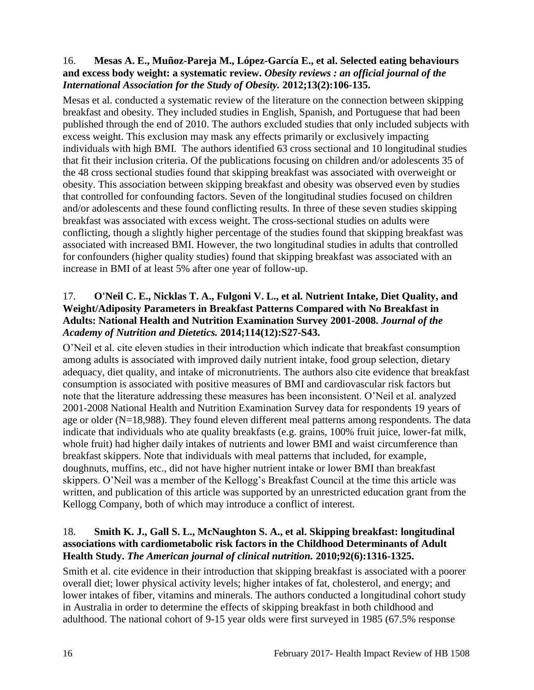# <span id="page-17-0"></span>16. **Mesas A. E., Muñoz-Pareja M., López-García E., et al. Selected eating behaviours and excess body weight: a systematic review.** *Obesity reviews : an official journal of the International Association for the Study of Obesity.* **2012;13(2):106-135.**

Mesas et al. conducted a systematic review of the literature on the connection between skipping breakfast and obesity. They included studies in English, Spanish, and Portuguese that had been published through the end of 2010. The authors excluded studies that only included subjects with excess weight. This exclusion may mask any effects primarily or exclusively impacting individuals with high BMI. The authors identified 63 cross sectional and 10 longitudinal studies that fit their inclusion criteria. Of the publications focusing on children and/or adolescents 35 of the 48 cross sectional studies found that skipping breakfast was associated with overweight or obesity. This association between skipping breakfast and obesity was observed even by studies that controlled for confounding factors. Seven of the longitudinal studies focused on children and/or adolescents and these found conflicting results. In three of these seven studies skipping breakfast was associated with excess weight. The cross-sectional studies on adults were conflicting, though a slightly higher percentage of the studies found that skipping breakfast was associated with increased BMI. However, the two longitudinal studies in adults that controlled for confounders (higher quality studies) found that skipping breakfast was associated with an increase in BMI of at least 5% after one year of follow-up.

# <span id="page-17-1"></span>17. **O'Neil C. E., Nicklas T. A., Fulgoni V. L., et al. Nutrient Intake, Diet Quality, and Weight/Adiposity Parameters in Breakfast Patterns Compared with No Breakfast in Adults: National Health and Nutrition Examination Survey 2001-2008.** *Journal of the Academy of Nutrition and Dietetics.* **2014;114(12):S27-S43.**

O'Neil et al. cite eleven studies in their introduction which indicate that breakfast consumption among adults is associated with improved daily nutrient intake, food group selection, dietary adequacy, diet quality, and intake of micronutrients. The authors also cite evidence that breakfast consumption is associated with positive measures of BMI and cardiovascular risk factors but note that the literature addressing these measures has been inconsistent. O'Neil et al. analyzed 2001-2008 National Health and Nutrition Examination Survey data for respondents 19 years of age or older (N=18,988). They found eleven different meal patterns among respondents. The data indicate that individuals who ate quality breakfasts (e.g. grains, 100% fruit juice, lower-fat milk, whole fruit) had higher daily intakes of nutrients and lower BMI and waist circumference than breakfast skippers. Note that individuals with meal patterns that included, for example, doughnuts, muffins, etc., did not have higher nutrient intake or lower BMI than breakfast skippers. O'Neil was a member of the Kellogg's Breakfast Council at the time this article was written, and publication of this article was supported by an unrestricted education grant from the Kellogg Company, both of which may introduce a conflict of interest.

# <span id="page-17-2"></span>18. **Smith K. J., Gall S. L., McNaughton S. A., et al. Skipping breakfast: longitudinal associations with cardiometabolic risk factors in the Childhood Determinants of Adult Health Study.** *The American journal of clinical nutrition.* **2010;92(6):1316-1325.**

Smith et al. cite evidence in their introduction that skipping breakfast is associated with a poorer overall diet; lower physical activity levels; higher intakes of fat, cholesterol, and energy; and lower intakes of fiber, vitamins and minerals. The authors conducted a longitudinal cohort study in Australia in order to determine the effects of skipping breakfast in both childhood and adulthood. The national cohort of 9-15 year olds were first surveyed in 1985 (67.5% response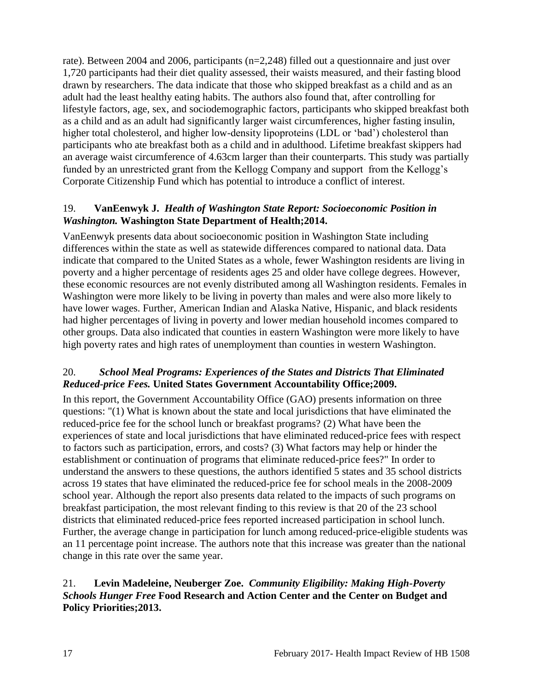rate). Between 2004 and 2006, participants (n=2,248) filled out a questionnaire and just over 1,720 participants had their diet quality assessed, their waists measured, and their fasting blood drawn by researchers. The data indicate that those who skipped breakfast as a child and as an adult had the least healthy eating habits. The authors also found that, after controlling for lifestyle factors, age, sex, and sociodemographic factors, participants who skipped breakfast both as a child and as an adult had significantly larger waist circumferences, higher fasting insulin, higher total cholesterol, and higher low-density lipoproteins (LDL or 'bad') cholesterol than participants who ate breakfast both as a child and in adulthood. Lifetime breakfast skippers had an average waist circumference of 4.63cm larger than their counterparts. This study was partially funded by an unrestricted grant from the Kellogg Company and support from the Kellogg's Corporate Citizenship Fund which has potential to introduce a conflict of interest.

#### <span id="page-18-2"></span>19. **VanEenwyk J.** *Health of Washington State Report: Socioeconomic Position in Washington.* **Washington State Department of Health;2014.**

VanEenwyk presents data about socioeconomic position in Washington State including differences within the state as well as statewide differences compared to national data. Data indicate that compared to the United States as a whole, fewer Washington residents are living in poverty and a higher percentage of residents ages 25 and older have college degrees. However, these economic resources are not evenly distributed among all Washington residents. Females in Washington were more likely to be living in poverty than males and were also more likely to have lower wages. Further, American Indian and Alaska Native, Hispanic, and black residents had higher percentages of living in poverty and lower median household incomes compared to other groups. Data also indicated that counties in eastern Washington were more likely to have high poverty rates and high rates of unemployment than counties in western Washington.

#### <span id="page-18-0"></span>20.*School Meal Programs: Experiences of the States and Districts That Eliminated Reduced-price Fees.* **United States Government Accountability Office;2009.**

In this report, the Government Accountability Office (GAO) presents information on three questions: "(1) What is known about the state and local jurisdictions that have eliminated the reduced-price fee for the school lunch or breakfast programs? (2) What have been the experiences of state and local jurisdictions that have eliminated reduced-price fees with respect to factors such as participation, errors, and costs? (3) What factors may help or hinder the establishment or continuation of programs that eliminate reduced-price fees?" In order to understand the answers to these questions, the authors identified 5 states and 35 school districts across 19 states that have eliminated the reduced-price fee for school meals in the 2008-2009 school year. Although the report also presents data related to the impacts of such programs on breakfast participation, the most relevant finding to this review is that 20 of the 23 school districts that eliminated reduced-price fees reported increased participation in school lunch. Further, the average change in participation for lunch among reduced-price-eligible students was an 11 percentage point increase. The authors note that this increase was greater than the national change in this rate over the same year.

#### <span id="page-18-1"></span>21. **Levin Madeleine, Neuberger Zoe.** *Community Eligibility: Making High-Poverty Schools Hunger Free* **Food Research and Action Center and the Center on Budget and Policy Priorities;2013.**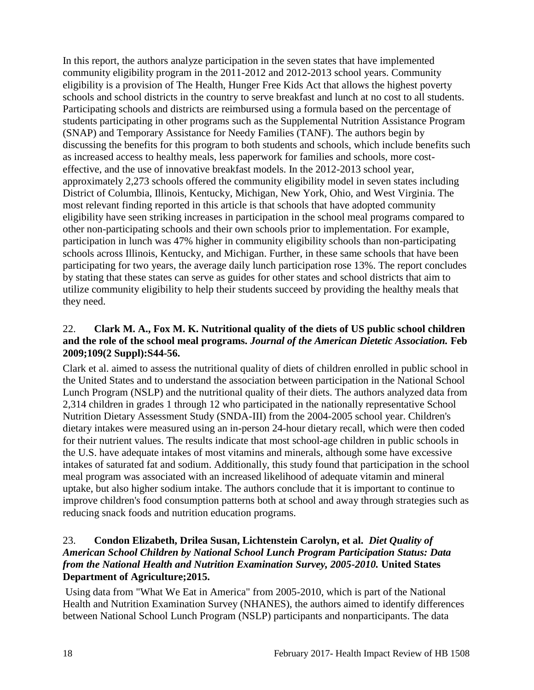In this report, the authors analyze participation in the seven states that have implemented community eligibility program in the 2011-2012 and 2012-2013 school years. Community eligibility is a provision of The Health, Hunger Free Kids Act that allows the highest poverty schools and school districts in the country to serve breakfast and lunch at no cost to all students. Participating schools and districts are reimbursed using a formula based on the percentage of students participating in other programs such as the Supplemental Nutrition Assistance Program (SNAP) and Temporary Assistance for Needy Families (TANF). The authors begin by discussing the benefits for this program to both students and schools, which include benefits such as increased access to healthy meals, less paperwork for families and schools, more costeffective, and the use of innovative breakfast models. In the 2012-2013 school year, approximately 2,273 schools offered the community eligibility model in seven states including District of Columbia, Illinois, Kentucky, Michigan, New York, Ohio, and West Virginia. The most relevant finding reported in this article is that schools that have adopted community eligibility have seen striking increases in participation in the school meal programs compared to other non-participating schools and their own schools prior to implementation. For example, participation in lunch was 47% higher in community eligibility schools than non-participating schools across Illinois, Kentucky, and Michigan. Further, in these same schools that have been participating for two years, the average daily lunch participation rose 13%. The report concludes by stating that these states can serve as guides for other states and school districts that aim to utilize community eligibility to help their students succeed by providing the healthy meals that they need.

# <span id="page-19-0"></span>22. **Clark M. A., Fox M. K. Nutritional quality of the diets of US public school children and the role of the school meal programs.** *Journal of the American Dietetic Association.* **Feb 2009;109(2 Suppl):S44-56.**

Clark et al. aimed to assess the nutritional quality of diets of children enrolled in public school in the United States and to understand the association between participation in the National School Lunch Program (NSLP) and the nutritional quality of their diets. The authors analyzed data from 2,314 children in grades 1 through 12 who participated in the nationally representative School Nutrition Dietary Assessment Study (SNDA-III) from the 2004-2005 school year. Children's dietary intakes were measured using an in-person 24-hour dietary recall, which were then coded for their nutrient values. The results indicate that most school-age children in public schools in the U.S. have adequate intakes of most vitamins and minerals, although some have excessive intakes of saturated fat and sodium. Additionally, this study found that participation in the school meal program was associated with an increased likelihood of adequate vitamin and mineral uptake, but also higher sodium intake. The authors conclude that it is important to continue to improve children's food consumption patterns both at school and away through strategies such as reducing snack foods and nutrition education programs.

# <span id="page-19-1"></span>23. **Condon Elizabeth, Drilea Susan, Lichtenstein Carolyn, et al.** *Diet Quality of American School Children by National School Lunch Program Participation Status: Data from the National Health and Nutrition Examination Survey, 2005-2010.* **United States Department of Agriculture;2015.**

Using data from "What We Eat in America" from 2005-2010, which is part of the National Health and Nutrition Examination Survey (NHANES), the authors aimed to identify differences between National School Lunch Program (NSLP) participants and nonparticipants. The data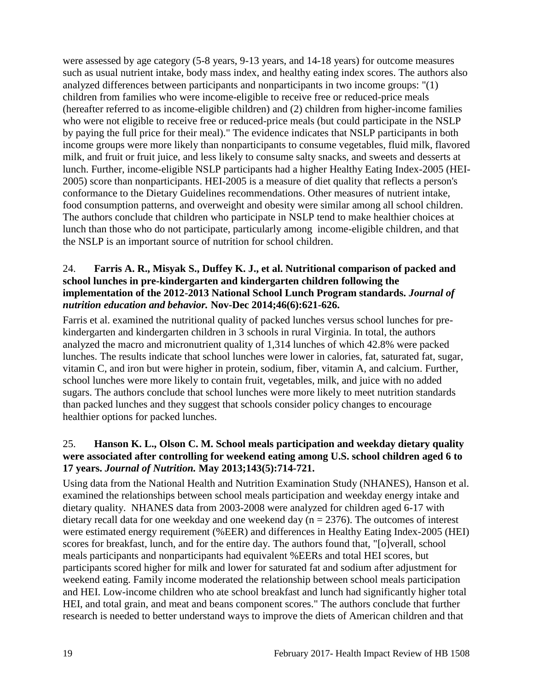were assessed by age category (5-8 years, 9-13 years, and 14-18 years) for outcome measures such as usual nutrient intake, body mass index, and healthy eating index scores. The authors also analyzed differences between participants and nonparticipants in two income groups: "(1) children from families who were income-eligible to receive free or reduced-price meals (hereafter referred to as income-eligible children) and (2) children from higher-income families who were not eligible to receive free or reduced-price meals (but could participate in the NSLP by paying the full price for their meal)." The evidence indicates that NSLP participants in both income groups were more likely than nonparticipants to consume vegetables, fluid milk, flavored milk, and fruit or fruit juice, and less likely to consume salty snacks, and sweets and desserts at lunch. Further, income-eligible NSLP participants had a higher Healthy Eating Index-2005 (HEI-2005) score than nonparticipants. HEI-2005 is a measure of diet quality that reflects a person's conformance to the Dietary Guidelines recommendations. Other measures of nutrient intake, food consumption patterns, and overweight and obesity were similar among all school children. The authors conclude that children who participate in NSLP tend to make healthier choices at lunch than those who do not participate, particularly among income-eligible children, and that the NSLP is an important source of nutrition for school children.

#### <span id="page-20-0"></span>24. **Farris A. R., Misyak S., Duffey K. J., et al. Nutritional comparison of packed and school lunches in pre-kindergarten and kindergarten children following the implementation of the 2012-2013 National School Lunch Program standards.** *Journal of nutrition education and behavior.* **Nov-Dec 2014;46(6):621-626.**

Farris et al. examined the nutritional quality of packed lunches versus school lunches for prekindergarten and kindergarten children in 3 schools in rural Virginia. In total, the authors analyzed the macro and micronutrient quality of 1,314 lunches of which 42.8% were packed lunches. The results indicate that school lunches were lower in calories, fat, saturated fat, sugar, vitamin C, and iron but were higher in protein, sodium, fiber, vitamin A, and calcium. Further, school lunches were more likely to contain fruit, vegetables, milk, and juice with no added sugars. The authors conclude that school lunches were more likely to meet nutrition standards than packed lunches and they suggest that schools consider policy changes to encourage healthier options for packed lunches.

# <span id="page-20-1"></span>25. **Hanson K. L., Olson C. M. School meals participation and weekday dietary quality were associated after controlling for weekend eating among U.S. school children aged 6 to 17 years.** *Journal of Nutrition.* **May 2013;143(5):714-721.**

Using data from the National Health and Nutrition Examination Study (NHANES), Hanson et al. examined the relationships between school meals participation and weekday energy intake and dietary quality. NHANES data from 2003-2008 were analyzed for children aged 6-17 with dietary recall data for one weekday and one weekend day ( $n = 2376$ ). The outcomes of interest were estimated energy requirement (%EER) and differences in Healthy Eating Index-2005 (HEI) scores for breakfast, lunch, and for the entire day. The authors found that, "[o]verall, school meals participants and nonparticipants had equivalent %EERs and total HEI scores, but participants scored higher for milk and lower for saturated fat and sodium after adjustment for weekend eating. Family income moderated the relationship between school meals participation and HEI. Low-income children who ate school breakfast and lunch had significantly higher total HEI, and total grain, and meat and beans component scores." The authors conclude that further research is needed to better understand ways to improve the diets of American children and that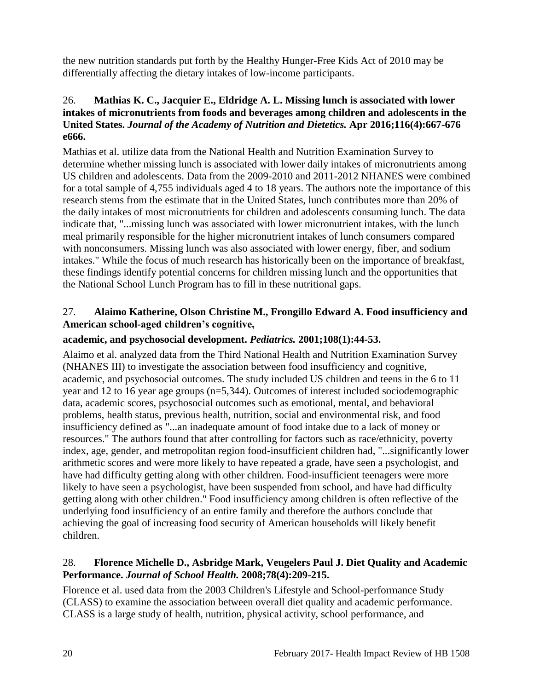the new nutrition standards put forth by the Healthy Hunger-Free Kids Act of 2010 may be differentially affecting the dietary intakes of low-income participants.

# <span id="page-21-1"></span>26. **Mathias K. C., Jacquier E., Eldridge A. L. Missing lunch is associated with lower intakes of micronutrients from foods and beverages among children and adolescents in the United States.** *Journal of the Academy of Nutrition and Dietetics.* **Apr 2016;116(4):667-676 e666.**

Mathias et al. utilize data from the National Health and Nutrition Examination Survey to determine whether missing lunch is associated with lower daily intakes of micronutrients among US children and adolescents. Data from the 2009-2010 and 2011-2012 NHANES were combined for a total sample of 4,755 individuals aged 4 to 18 years. The authors note the importance of this research stems from the estimate that in the United States, lunch contributes more than 20% of the daily intakes of most micronutrients for children and adolescents consuming lunch. The data indicate that, "...missing lunch was associated with lower micronutrient intakes, with the lunch meal primarily responsible for the higher micronutrient intakes of lunch consumers compared with nonconsumers. Missing lunch was also associated with lower energy, fiber, and sodium intakes." While the focus of much research has historically been on the importance of breakfast, these findings identify potential concerns for children missing lunch and the opportunities that the National School Lunch Program has to fill in these nutritional gaps.

# <span id="page-21-0"></span>27. **Alaimo Katherine, Olson Christine M., Frongillo Edward A. Food insufficiency and American school-aged children's cognitive,**

# **academic, and psychosocial development.** *Pediatrics.* **2001;108(1):44-53.**

Alaimo et al. analyzed data from the Third National Health and Nutrition Examination Survey (NHANES III) to investigate the association between food insufficiency and cognitive, academic, and psychosocial outcomes. The study included US children and teens in the 6 to 11 year and 12 to 16 year age groups (n=5,344). Outcomes of interest included sociodemographic data, academic scores, psychosocial outcomes such as emotional, mental, and behavioral problems, health status, previous health, nutrition, social and environmental risk, and food insufficiency defined as "...an inadequate amount of food intake due to a lack of money or resources." The authors found that after controlling for factors such as race/ethnicity, poverty index, age, gender, and metropolitan region food-insufficient children had, "...significantly lower arithmetic scores and were more likely to have repeated a grade, have seen a psychologist, and have had difficulty getting along with other children. Food-insufficient teenagers were more likely to have seen a psychologist, have been suspended from school, and have had difficulty getting along with other children." Food insufficiency among children is often reflective of the underlying food insufficiency of an entire family and therefore the authors conclude that achieving the goal of increasing food security of American households will likely benefit children.

#### <span id="page-21-2"></span>28. **Florence Michelle D., Asbridge Mark, Veugelers Paul J. Diet Quality and Academic Performance.** *Journal of School Health.* **2008;78(4):209-215.**

Florence et al. used data from the 2003 Children's Lifestyle and School-performance Study (CLASS) to examine the association between overall diet quality and academic performance. CLASS is a large study of health, nutrition, physical activity, school performance, and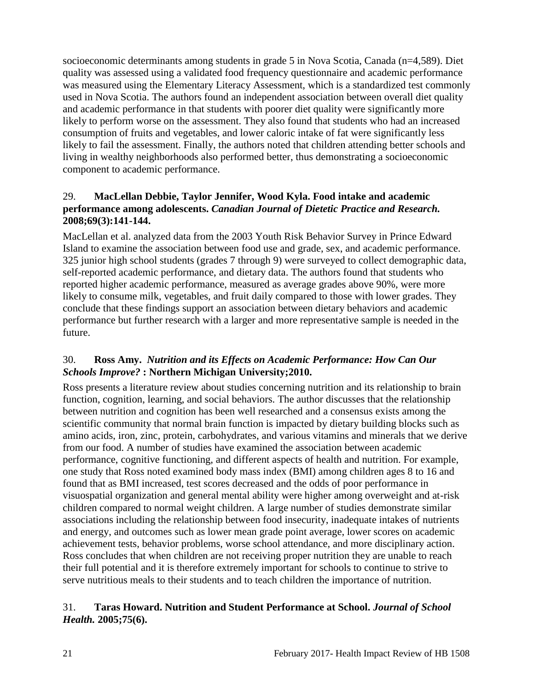socioeconomic determinants among students in grade 5 in Nova Scotia, Canada (n=4,589). Diet quality was assessed using a validated food frequency questionnaire and academic performance was measured using the Elementary Literacy Assessment, which is a standardized test commonly used in Nova Scotia. The authors found an independent association between overall diet quality and academic performance in that students with poorer diet quality were significantly more likely to perform worse on the assessment. They also found that students who had an increased consumption of fruits and vegetables, and lower caloric intake of fat were significantly less likely to fail the assessment. Finally, the authors noted that children attending better schools and living in wealthy neighborhoods also performed better, thus demonstrating a socioeconomic component to academic performance.

# <span id="page-22-1"></span>29. **MacLellan Debbie, Taylor Jennifer, Wood Kyla. Food intake and academic performance among adolescents.** *Canadian Journal of Dietetic Practice and Research.*  **2008;69(3):141-144.**

MacLellan et al. analyzed data from the 2003 Youth Risk Behavior Survey in Prince Edward Island to examine the association between food use and grade, sex, and academic performance. 325 junior high school students (grades 7 through 9) were surveyed to collect demographic data, self-reported academic performance, and dietary data. The authors found that students who reported higher academic performance, measured as average grades above 90%, were more likely to consume milk, vegetables, and fruit daily compared to those with lower grades. They conclude that these findings support an association between dietary behaviors and academic performance but further research with a larger and more representative sample is needed in the future.

# <span id="page-22-0"></span>30. **Ross Amy.** *Nutrition and its Effects on Academic Performance: How Can Our Schools Improve?* **: Northern Michigan University;2010.**

Ross presents a literature review about studies concerning nutrition and its relationship to brain function, cognition, learning, and social behaviors. The author discusses that the relationship between nutrition and cognition has been well researched and a consensus exists among the scientific community that normal brain function is impacted by dietary building blocks such as amino acids, iron, zinc, protein, carbohydrates, and various vitamins and minerals that we derive from our food. A number of studies have examined the association between academic performance, cognitive functioning, and different aspects of health and nutrition. For example, one study that Ross noted examined body mass index (BMI) among children ages 8 to 16 and found that as BMI increased, test scores decreased and the odds of poor performance in visuospatial organization and general mental ability were higher among overweight and at-risk children compared to normal weight children. A large number of studies demonstrate similar associations including the relationship between food insecurity, inadequate intakes of nutrients and energy, and outcomes such as lower mean grade point average, lower scores on academic achievement tests, behavior problems, worse school attendance, and more disciplinary action. Ross concludes that when children are not receiving proper nutrition they are unable to reach their full potential and it is therefore extremely important for schools to continue to strive to serve nutritious meals to their students and to teach children the importance of nutrition.

# <span id="page-22-2"></span>31. **Taras Howard. Nutrition and Student Performance at School.** *Journal of School Health.* **2005;75(6).**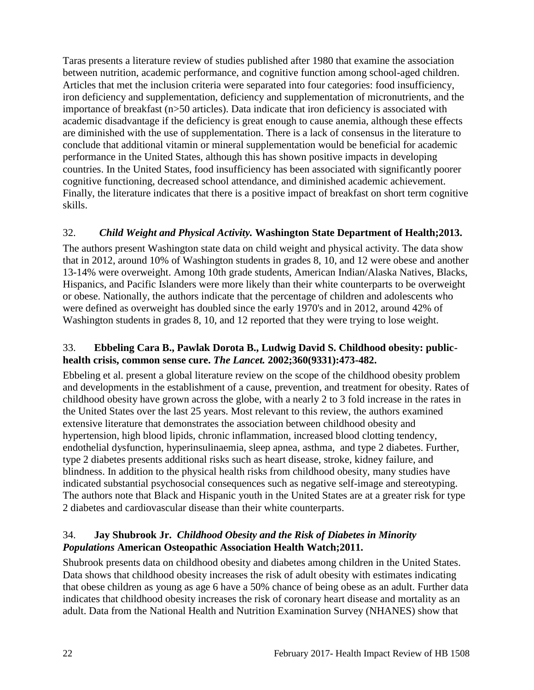Taras presents a literature review of studies published after 1980 that examine the association between nutrition, academic performance, and cognitive function among school-aged children. Articles that met the inclusion criteria were separated into four categories: food insufficiency, iron deficiency and supplementation, deficiency and supplementation of micronutrients, and the importance of breakfast (n>50 articles). Data indicate that iron deficiency is associated with academic disadvantage if the deficiency is great enough to cause anemia, although these effects are diminished with the use of supplementation. There is a lack of consensus in the literature to conclude that additional vitamin or mineral supplementation would be beneficial for academic performance in the United States, although this has shown positive impacts in developing countries. In the United States, food insufficiency has been associated with significantly poorer cognitive functioning, decreased school attendance, and diminished academic achievement. Finally, the literature indicates that there is a positive impact of breakfast on short term cognitive skills.

# <span id="page-23-0"></span>32.*Child Weight and Physical Activity.* **Washington State Department of Health;2013.**

The authors present Washington state data on child weight and physical activity. The data show that in 2012, around 10% of Washington students in grades 8, 10, and 12 were obese and another 13-14% were overweight. Among 10th grade students, American Indian/Alaska Natives, Blacks, Hispanics, and Pacific Islanders were more likely than their white counterparts to be overweight or obese. Nationally, the authors indicate that the percentage of children and adolescents who were defined as overweight has doubled since the early 1970's and in 2012, around 42% of Washington students in grades 8, 10, and 12 reported that they were trying to lose weight.

# <span id="page-23-1"></span>33. **Ebbeling Cara B., Pawlak Dorota B., Ludwig David S. Childhood obesity: publichealth crisis, common sense cure.** *The Lancet.* **2002;360(9331):473-482.**

Ebbeling et al. present a global literature review on the scope of the childhood obesity problem and developments in the establishment of a cause, prevention, and treatment for obesity. Rates of childhood obesity have grown across the globe, with a nearly 2 to 3 fold increase in the rates in the United States over the last 25 years. Most relevant to this review, the authors examined extensive literature that demonstrates the association between childhood obesity and hypertension, high blood lipids, chronic inflammation, increased blood clotting tendency, endothelial dysfunction, hyperinsulinaemia, sleep apnea, asthma, and type 2 diabetes. Further, type 2 diabetes presents additional risks such as heart disease, stroke, kidney failure, and blindness. In addition to the physical health risks from childhood obesity, many studies have indicated substantial psychosocial consequences such as negative self-image and stereotyping. The authors note that Black and Hispanic youth in the United States are at a greater risk for type 2 diabetes and cardiovascular disease than their white counterparts.

# <span id="page-23-2"></span>34. **Jay Shubrook Jr.** *Childhood Obesity and the Risk of Diabetes in Minority Populations* **American Osteopathic Association Health Watch;2011.**

Shubrook presents data on childhood obesity and diabetes among children in the United States. Data shows that childhood obesity increases the risk of adult obesity with estimates indicating that obese children as young as age 6 have a 50% chance of being obese as an adult. Further data indicates that childhood obesity increases the risk of coronary heart disease and mortality as an adult. Data from the National Health and Nutrition Examination Survey (NHANES) show that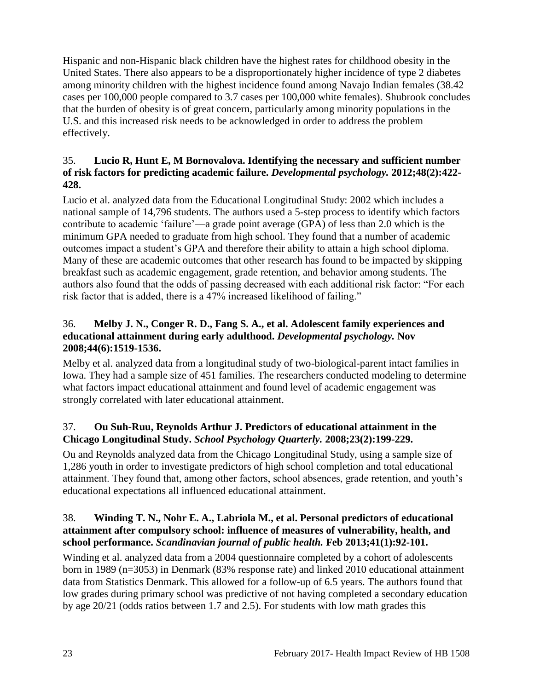Hispanic and non-Hispanic black children have the highest rates for childhood obesity in the United States. There also appears to be a disproportionately higher incidence of type 2 diabetes among minority children with the highest incidence found among Navajo Indian females (38.42 cases per 100,000 people compared to 3.7 cases per 100,000 white females). Shubrook concludes that the burden of obesity is of great concern, particularly among minority populations in the U.S. and this increased risk needs to be acknowledged in order to address the problem effectively.

# <span id="page-24-0"></span>35. **Lucio R, Hunt E, M Bornovalova. Identifying the necessary and sufficient number of risk factors for predicting academic failure.** *Developmental psychology.* **2012;48(2):422- 428.**

Lucio et al. analyzed data from the Educational Longitudinal Study: 2002 which includes a national sample of 14,796 students. The authors used a 5-step process to identify which factors contribute to academic 'failure'—a grade point average (GPA) of less than 2.0 which is the minimum GPA needed to graduate from high school. They found that a number of academic outcomes impact a student's GPA and therefore their ability to attain a high school diploma. Many of these are academic outcomes that other research has found to be impacted by skipping breakfast such as academic engagement, grade retention, and behavior among students. The authors also found that the odds of passing decreased with each additional risk factor: "For each risk factor that is added, there is a 47% increased likelihood of failing."

# 36. **Melby J. N., Conger R. D., Fang S. A., et al. Adolescent family experiences and educational attainment during early adulthood.** *Developmental psychology.* **Nov 2008;44(6):1519-1536.**

Melby et al. analyzed data from a longitudinal study of two-biological-parent intact families in Iowa. They had a sample size of 451 families. The researchers conducted modeling to determine what factors impact educational attainment and found level of academic engagement was strongly correlated with later educational attainment.

# 37. **Ou Suh-Ruu, Reynolds Arthur J. Predictors of educational attainment in the Chicago Longitudinal Study.** *School Psychology Quarterly.* **2008;23(2):199-229.**

Ou and Reynolds analyzed data from the Chicago Longitudinal Study, using a sample size of 1,286 youth in order to investigate predictors of high school completion and total educational attainment. They found that, among other factors, school absences, grade retention, and youth's educational expectations all influenced educational attainment.

# <span id="page-24-1"></span>38. **Winding T. N., Nohr E. A., Labriola M., et al. Personal predictors of educational attainment after compulsory school: influence of measures of vulnerability, health, and school performance.** *Scandinavian journal of public health.* **Feb 2013;41(1):92-101.**

Winding et al. analyzed data from a 2004 questionnaire completed by a cohort of adolescents born in 1989 (n=3053) in Denmark (83% response rate) and linked 2010 educational attainment data from Statistics Denmark. This allowed for a follow-up of 6.5 years. The authors found that low grades during primary school was predictive of not having completed a secondary education by age 20/21 (odds ratios between 1.7 and 2.5). For students with low math grades this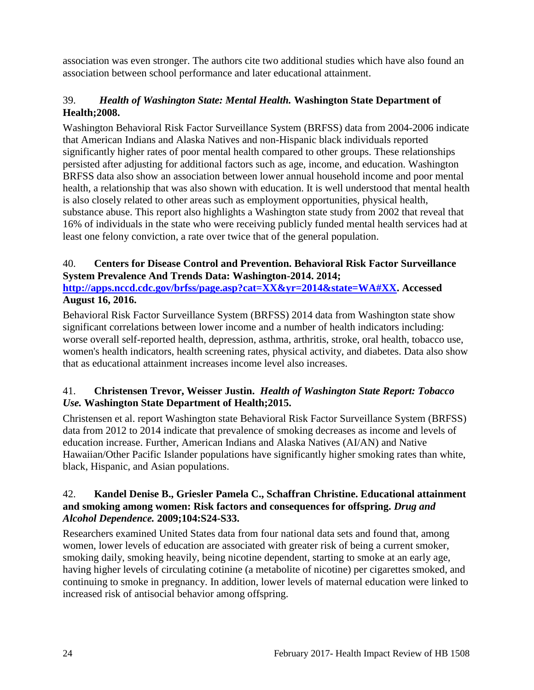association was even stronger. The authors cite two additional studies which have also found an association between school performance and later educational attainment.

# <span id="page-25-0"></span>39.*Health of Washington State: Mental Health.* **Washington State Department of Health;2008.**

Washington Behavioral Risk Factor Surveillance System (BRFSS) data from 2004-2006 indicate that American Indians and Alaska Natives and non-Hispanic black individuals reported significantly higher rates of poor mental health compared to other groups. These relationships persisted after adjusting for additional factors such as age, income, and education. Washington BRFSS data also show an association between lower annual household income and poor mental health, a relationship that was also shown with education. It is well understood that mental health is also closely related to other areas such as employment opportunities, physical health, substance abuse. This report also highlights a Washington state study from 2002 that reveal that 16% of individuals in the state who were receiving publicly funded mental health services had at least one felony conviction, a rate over twice that of the general population.

# <span id="page-25-1"></span>40. **Centers for Disease Control and Prevention. Behavioral Risk Factor Surveillance System Prevalence And Trends Data: Washington-2014. 2014;**

**[http://apps.nccd.cdc.gov/brfss/page.asp?cat=XX&yr=2014&state=WA#XX.](http://apps.nccd.cdc.gov/brfss/page.asp?cat=XX&yr=2014&state=WA#XX) Accessed August 16, 2016.**

Behavioral Risk Factor Surveillance System (BRFSS) 2014 data from Washington state show significant correlations between lower income and a number of health indicators including: worse overall self-reported health, depression, asthma, arthritis, stroke, oral health, tobacco use, women's health indicators, health screening rates, physical activity, and diabetes. Data also show that as educational attainment increases income level also increases.

# <span id="page-25-2"></span>41. **Christensen Trevor, Weisser Justin.** *Health of Washington State Report: Tobacco Use.* **Washington State Department of Health;2015.**

Christensen et al. report Washington state Behavioral Risk Factor Surveillance System (BRFSS) data from 2012 to 2014 indicate that prevalence of smoking decreases as income and levels of education increase. Further, American Indians and Alaska Natives (AI/AN) and Native Hawaiian/Other Pacific Islander populations have significantly higher smoking rates than white, black, Hispanic, and Asian populations.

# 42. **Kandel Denise B., Griesler Pamela C., Schaffran Christine. Educational attainment and smoking among women: Risk factors and consequences for offspring.** *Drug and Alcohol Dependence.* **2009;104:S24-S33.**

Researchers examined United States data from four national data sets and found that, among women, lower levels of education are associated with greater risk of being a current smoker, smoking daily, smoking heavily, being nicotine dependent, starting to smoke at an early age, having higher levels of circulating cotinine (a metabolite of nicotine) per cigarettes smoked, and continuing to smoke in pregnancy. In addition, lower levels of maternal education were linked to increased risk of antisocial behavior among offspring.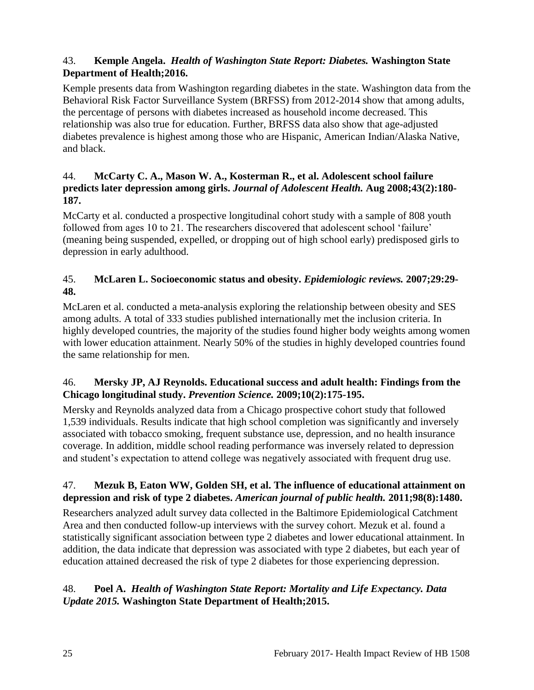# <span id="page-26-0"></span>43. **Kemple Angela.** *Health of Washington State Report: Diabetes.* **Washington State Department of Health;2016.**

Kemple presents data from Washington regarding diabetes in the state. Washington data from the Behavioral Risk Factor Surveillance System (BRFSS) from 2012-2014 show that among adults, the percentage of persons with diabetes increased as household income decreased. This relationship was also true for education. Further, BRFSS data also show that age-adjusted diabetes prevalence is highest among those who are Hispanic, American Indian/Alaska Native, and black.

# 44. **McCarty C. A., Mason W. A., Kosterman R., et al. Adolescent school failure predicts later depression among girls.** *Journal of Adolescent Health.* **Aug 2008;43(2):180- 187.**

McCarty et al. conducted a prospective longitudinal cohort study with a sample of 808 youth followed from ages 10 to 21. The researchers discovered that adolescent school 'failure' (meaning being suspended, expelled, or dropping out of high school early) predisposed girls to depression in early adulthood.

# 45. **McLaren L. Socioeconomic status and obesity.** *Epidemiologic reviews.* **2007;29:29- 48.**

McLaren et al. conducted a meta-analysis exploring the relationship between obesity and SES among adults. A total of 333 studies published internationally met the inclusion criteria. In highly developed countries, the majority of the studies found higher body weights among women with lower education attainment. Nearly 50% of the studies in highly developed countries found the same relationship for men.

# 46. **Mersky JP, AJ Reynolds. Educational success and adult health: Findings from the Chicago longitudinal study.** *Prevention Science.* **2009;10(2):175-195.**

Mersky and Reynolds analyzed data from a Chicago prospective cohort study that followed 1,539 individuals. Results indicate that high school completion was significantly and inversely associated with tobacco smoking, frequent substance use, depression, and no health insurance coverage. In addition, middle school reading performance was inversely related to depression and student's expectation to attend college was negatively associated with frequent drug use.

# 47. **Mezuk B, Eaton WW, Golden SH, et al. The influence of educational attainment on depression and risk of type 2 diabetes.** *American journal of public health.* **2011;98(8):1480.**

Researchers analyzed adult survey data collected in the Baltimore Epidemiological Catchment Area and then conducted follow-up interviews with the survey cohort. Mezuk et al. found a statistically significant association between type 2 diabetes and lower educational attainment. In addition, the data indicate that depression was associated with type 2 diabetes, but each year of education attained decreased the risk of type 2 diabetes for those experiencing depression.

# <span id="page-26-1"></span>48. **Poel A.** *Health of Washington State Report: Mortality and Life Expectancy. Data Update 2015.* **Washington State Department of Health;2015.**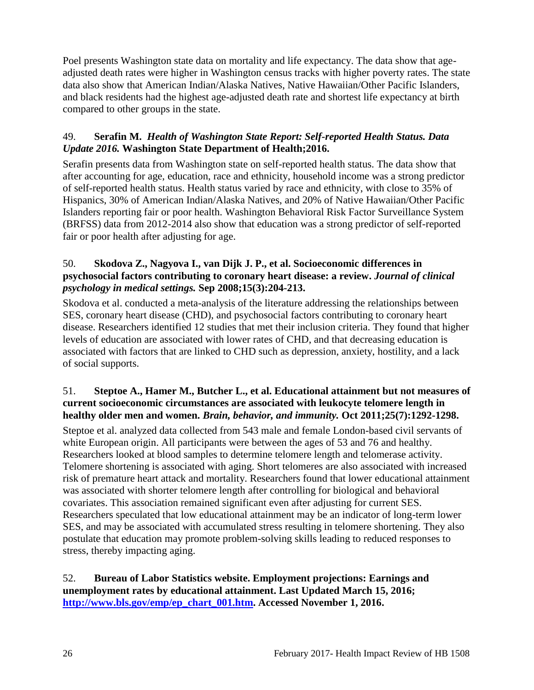Poel presents Washington state data on mortality and life expectancy. The data show that ageadjusted death rates were higher in Washington census tracks with higher poverty rates. The state data also show that American Indian/Alaska Natives, Native Hawaiian/Other Pacific Islanders, and black residents had the highest age-adjusted death rate and shortest life expectancy at birth compared to other groups in the state.

# <span id="page-27-1"></span>49. **Serafin M.** *Health of Washington State Report: Self-reported Health Status. Data Update 2016.* **Washington State Department of Health;2016.**

Serafin presents data from Washington state on self-reported health status. The data show that after accounting for age, education, race and ethnicity, household income was a strong predictor of self-reported health status. Health status varied by race and ethnicity, with close to 35% of Hispanics, 30% of American Indian/Alaska Natives, and 20% of Native Hawaiian/Other Pacific Islanders reporting fair or poor health. Washington Behavioral Risk Factor Surveillance System (BRFSS) data from 2012-2014 also show that education was a strong predictor of self-reported fair or poor health after adjusting for age.

# 50. **Skodova Z., Nagyova I., van Dijk J. P., et al. Socioeconomic differences in psychosocial factors contributing to coronary heart disease: a review.** *Journal of clinical psychology in medical settings.* **Sep 2008;15(3):204-213.**

Skodova et al. conducted a meta-analysis of the literature addressing the relationships between SES, coronary heart disease (CHD), and psychosocial factors contributing to coronary heart disease. Researchers identified 12 studies that met their inclusion criteria. They found that higher levels of education are associated with lower rates of CHD, and that decreasing education is associated with factors that are linked to CHD such as depression, anxiety, hostility, and a lack of social supports.

# 51. **Steptoe A., Hamer M., Butcher L., et al. Educational attainment but not measures of current socioeconomic circumstances are associated with leukocyte telomere length in healthy older men and women.** *Brain, behavior, and immunity.* **Oct 2011;25(7):1292-1298.**

Steptoe et al. analyzed data collected from 543 male and female London-based civil servants of white European origin. All participants were between the ages of 53 and 76 and healthy. Researchers looked at blood samples to determine telomere length and telomerase activity. Telomere shortening is associated with aging. Short telomeres are also associated with increased risk of premature heart attack and mortality. Researchers found that lower educational attainment was associated with shorter telomere length after controlling for biological and behavioral covariates. This association remained significant even after adjusting for current SES. Researchers speculated that low educational attainment may be an indicator of long-term lower SES, and may be associated with accumulated stress resulting in telomere shortening. They also postulate that education may promote problem-solving skills leading to reduced responses to stress, thereby impacting aging.

# <span id="page-27-0"></span>52. **Bureau of Labor Statistics website. Employment projections: Earnings and unemployment rates by educational attainment. Last Updated March 15, 2016; [http://www.bls.gov/emp/ep\\_chart\\_001.htm.](http://www.bls.gov/emp/ep_chart_001.htm) Accessed November 1, 2016.**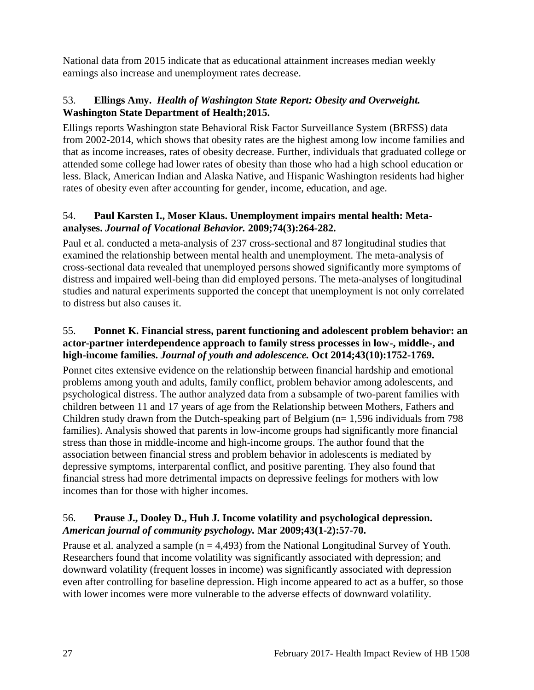National data from 2015 indicate that as educational attainment increases median weekly earnings also increase and unemployment rates decrease.

# <span id="page-28-0"></span>53. **Ellings Amy.** *Health of Washington State Report: Obesity and Overweight.* **Washington State Department of Health;2015.**

Ellings reports Washington state Behavioral Risk Factor Surveillance System (BRFSS) data from 2002-2014, which shows that obesity rates are the highest among low income families and that as income increases, rates of obesity decrease. Further, individuals that graduated college or attended some college had lower rates of obesity than those who had a high school education or less. Black, American Indian and Alaska Native, and Hispanic Washington residents had higher rates of obesity even after accounting for gender, income, education, and age.

# 54. **Paul Karsten I., Moser Klaus. Unemployment impairs mental health: Metaanalyses.** *Journal of Vocational Behavior.* **2009;74(3):264-282.**

Paul et al. conducted a meta-analysis of 237 cross-sectional and 87 longitudinal studies that examined the relationship between mental health and unemployment. The meta-analysis of cross-sectional data revealed that unemployed persons showed significantly more symptoms of distress and impaired well-being than did employed persons. The meta-analyses of longitudinal studies and natural experiments supported the concept that unemployment is not only correlated to distress but also causes it.

# <span id="page-28-2"></span>55. **Ponnet K. Financial stress, parent functioning and adolescent problem behavior: an actor-partner interdependence approach to family stress processes in low-, middle-, and high-income families.** *Journal of youth and adolescence.* **Oct 2014;43(10):1752-1769.**

Ponnet cites extensive evidence on the relationship between financial hardship and emotional problems among youth and adults, family conflict, problem behavior among adolescents, and psychological distress. The author analyzed data from a subsample of two-parent families with children between 11 and 17 years of age from the Relationship between Mothers, Fathers and Children study drawn from the Dutch-speaking part of Belgium ( $n= 1,596$  individuals from 798 families). Analysis showed that parents in low-income groups had significantly more financial stress than those in middle-income and high-income groups. The author found that the association between financial stress and problem behavior in adolescents is mediated by depressive symptoms, interparental conflict, and positive parenting. They also found that financial stress had more detrimental impacts on depressive feelings for mothers with low incomes than for those with higher incomes.

# <span id="page-28-1"></span>56. **Prause J., Dooley D., Huh J. Income volatility and psychological depression.**  *American journal of community psychology.* **Mar 2009;43(1-2):57-70.**

Prause et al. analyzed a sample ( $n = 4,493$ ) from the National Longitudinal Survey of Youth. Researchers found that income volatility was significantly associated with depression; and downward volatility (frequent losses in income) was significantly associated with depression even after controlling for baseline depression. High income appeared to act as a buffer, so those with lower incomes were more vulnerable to the adverse effects of downward volatility.